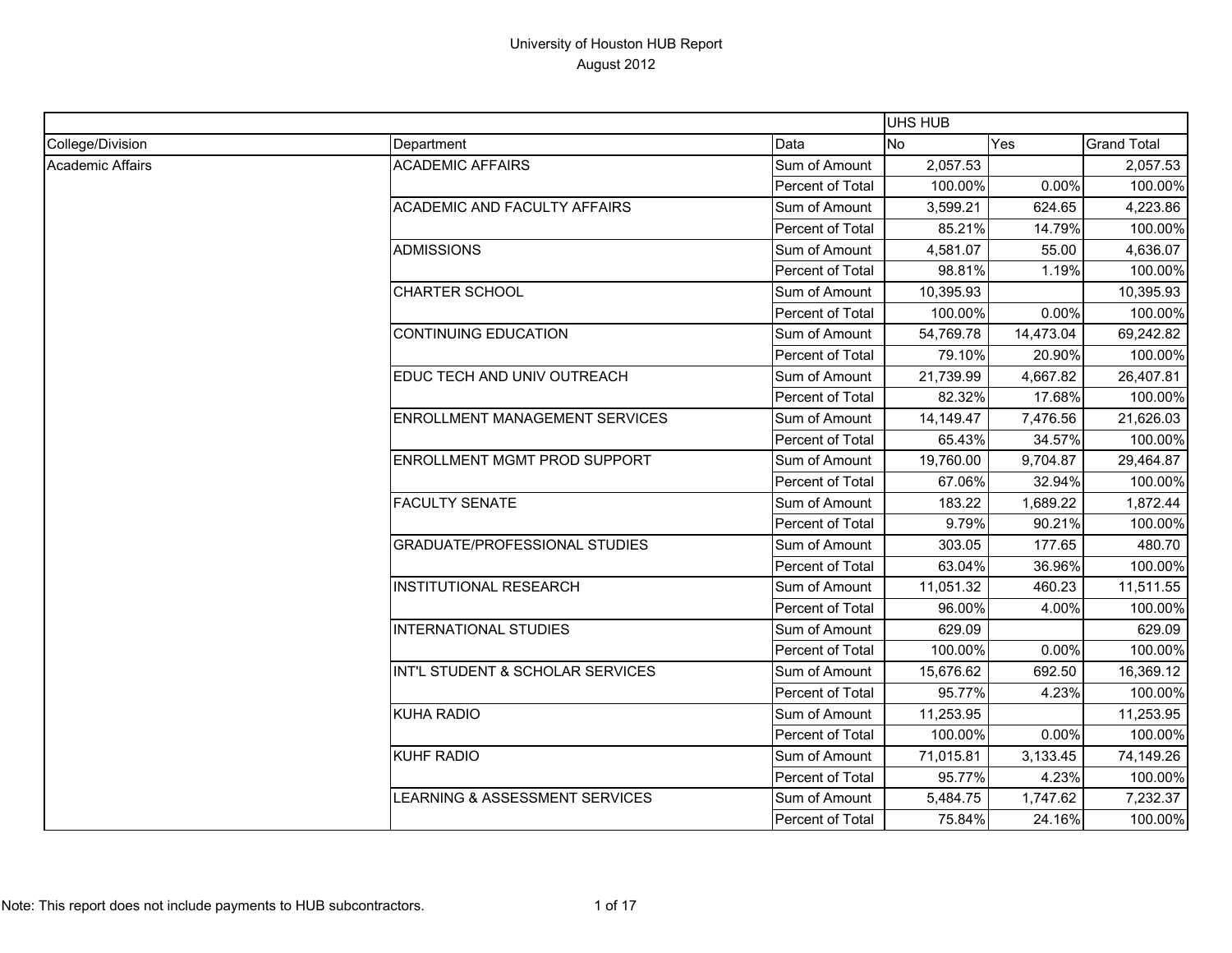|                         |                                       |                  | UHS HUB   |           |                    |
|-------------------------|---------------------------------------|------------------|-----------|-----------|--------------------|
| College/Division        | Department                            | Data             | <b>No</b> | Yes       | <b>Grand Total</b> |
| <b>Academic Affairs</b> | <b>ACADEMIC AFFAIRS</b>               | Sum of Amount    | 2,057.53  |           | 2,057.53           |
|                         |                                       | Percent of Total | 100.00%   | 0.00%     | 100.00%            |
|                         | ACADEMIC AND FACULTY AFFAIRS          | Sum of Amount    | 3,599.21  | 624.65    | 4,223.86           |
|                         |                                       | Percent of Total | 85.21%    | 14.79%    | 100.00%            |
|                         | <b>ADMISSIONS</b>                     | Sum of Amount    | 4,581.07  | 55.00     | 4,636.07           |
|                         |                                       | Percent of Total | 98.81%    | 1.19%     | 100.00%            |
|                         | <b>CHARTER SCHOOL</b>                 | Sum of Amount    | 10,395.93 |           | 10,395.93          |
|                         |                                       | Percent of Total | 100.00%   | 0.00%     | 100.00%            |
|                         | <b>CONTINUING EDUCATION</b>           | Sum of Amount    | 54,769.78 | 14,473.04 | 69,242.82          |
|                         |                                       | Percent of Total | 79.10%    | 20.90%    | 100.00%            |
|                         | EDUC TECH AND UNIV OUTREACH           | Sum of Amount    | 21,739.99 | 4,667.82  | 26,407.81          |
|                         |                                       | Percent of Total | 82.32%    | 17.68%    | 100.00%            |
|                         | <b>ENROLLMENT MANAGEMENT SERVICES</b> | Sum of Amount    | 14,149.47 | 7,476.56  | 21,626.03          |
|                         |                                       | Percent of Total | 65.43%    | 34.57%    | 100.00%            |
|                         | <b>ENROLLMENT MGMT PROD SUPPORT</b>   | Sum of Amount    | 19,760.00 | 9,704.87  | 29,464.87          |
|                         |                                       | Percent of Total | 67.06%    | 32.94%    | 100.00%            |
|                         | <b>FACULTY SENATE</b>                 | Sum of Amount    | 183.22    | 1,689.22  | 1,872.44           |
|                         |                                       | Percent of Total | 9.79%     | 90.21%    | 100.00%            |
|                         | <b>GRADUATE/PROFESSIONAL STUDIES</b>  | Sum of Amount    | 303.05    | 177.65    | 480.70             |
|                         |                                       | Percent of Total | 63.04%    | 36.96%    | 100.00%            |
|                         | <b>INSTITUTIONAL RESEARCH</b>         | Sum of Amount    | 11,051.32 | 460.23    | 11,511.55          |
|                         |                                       | Percent of Total | 96.00%    | 4.00%     | 100.00%            |
|                         | <b>INTERNATIONAL STUDIES</b>          | Sum of Amount    | 629.09    |           | 629.09             |
|                         |                                       | Percent of Total | 100.00%   | 0.00%     | 100.00%            |
|                         | INT'L STUDENT & SCHOLAR SERVICES      | Sum of Amount    | 15,676.62 | 692.50    | 16,369.12          |
|                         |                                       | Percent of Total | 95.77%    | 4.23%     | 100.00%            |
|                         | <b>KUHA RADIO</b>                     | Sum of Amount    | 11,253.95 |           | 11,253.95          |
|                         |                                       | Percent of Total | 100.00%   | 0.00%     | 100.00%            |
|                         | <b>KUHF RADIO</b>                     | Sum of Amount    | 71,015.81 | 3,133.45  | 74,149.26          |
|                         |                                       | Percent of Total | 95.77%    | 4.23%     | 100.00%            |
|                         | LEARNING & ASSESSMENT SERVICES        | Sum of Amount    | 5,484.75  | 1,747.62  | 7,232.37           |
|                         |                                       | Percent of Total | 75.84%    | 24.16%    | 100.00%            |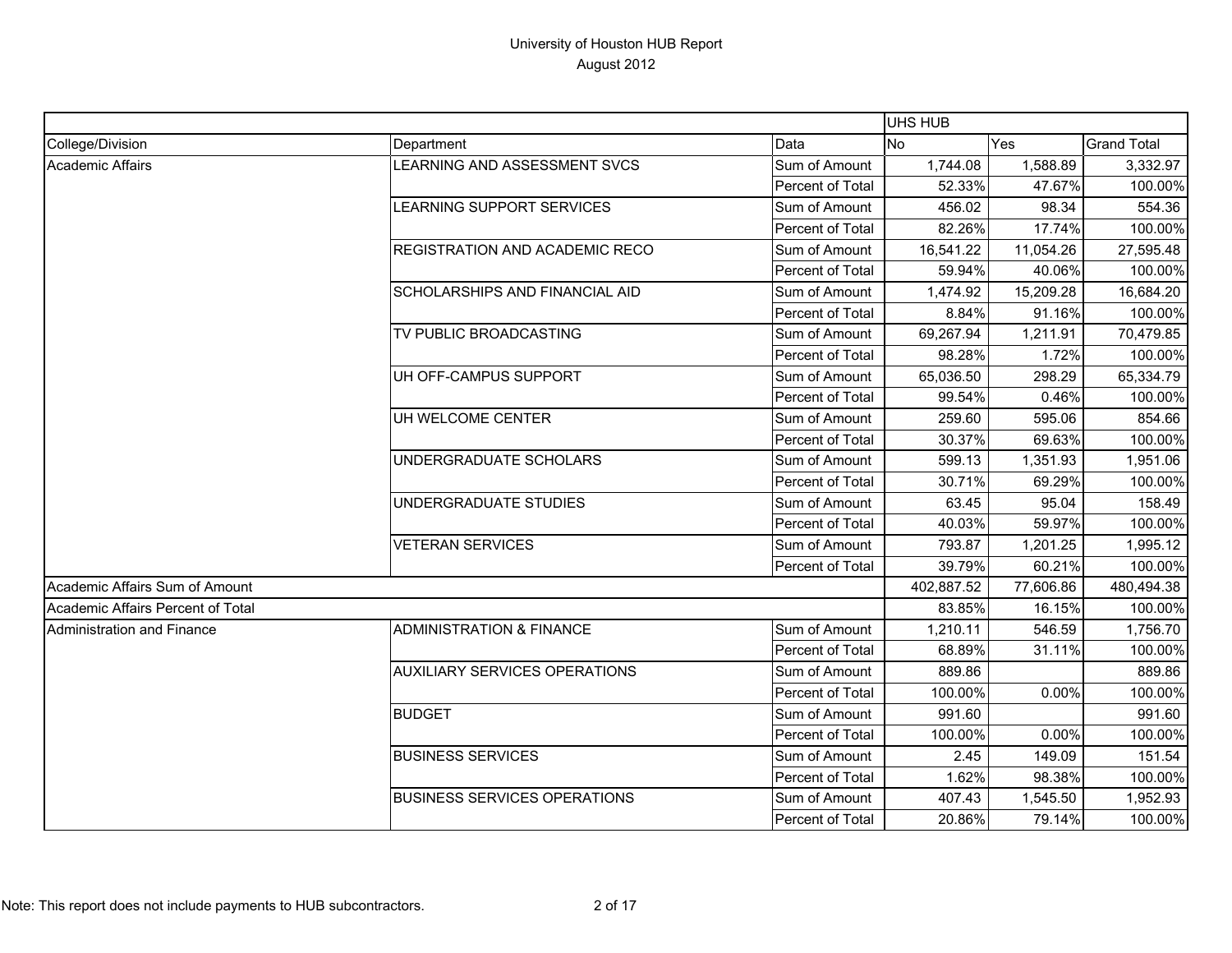|                                   |                                       |                         | <b>UHS HUB</b> |           |                    |
|-----------------------------------|---------------------------------------|-------------------------|----------------|-----------|--------------------|
| College/Division                  | Department                            | Data                    | <b>No</b>      | Yes       | <b>Grand Total</b> |
| <b>Academic Affairs</b>           | LEARNING AND ASSESSMENT SVCS          | Sum of Amount           | 1,744.08       | 1,588.89  | 3,332.97           |
|                                   |                                       | Percent of Total        | 52.33%         | 47.67%    | 100.00%            |
|                                   | LEARNING SUPPORT SERVICES             | Sum of Amount           | 456.02         | 98.34     | 554.36             |
|                                   |                                       | Percent of Total        | 82.26%         | 17.74%    | 100.00%            |
|                                   | REGISTRATION AND ACADEMIC RECO        | Sum of Amount           | 16,541.22      | 11,054.26 | 27,595.48          |
|                                   |                                       | Percent of Total        | 59.94%         | 40.06%    | 100.00%            |
|                                   | <b>SCHOLARSHIPS AND FINANCIAL AID</b> | Sum of Amount           | 1,474.92       | 15,209.28 | 16,684.20          |
|                                   |                                       | Percent of Total        | 8.84%          | 91.16%    | 100.00%            |
|                                   | TV PUBLIC BROADCASTING                | Sum of Amount           | 69,267.94      | 1,211.91  | 70,479.85          |
|                                   |                                       | Percent of Total        | 98.28%         | 1.72%     | 100.00%            |
|                                   | UH OFF-CAMPUS SUPPORT                 | Sum of Amount           | 65,036.50      | 298.29    | 65,334.79          |
|                                   |                                       | Percent of Total        | 99.54%         | 0.46%     | 100.00%            |
|                                   | UH WELCOME CENTER                     | Sum of Amount           | 259.60         | 595.06    | 854.66             |
|                                   |                                       | Percent of Total        | 30.37%         | 69.63%    | 100.00%            |
|                                   | UNDERGRADUATE SCHOLARS                | Sum of Amount           | 599.13         | 1,351.93  | 1,951.06           |
|                                   |                                       | Percent of Total        | 30.71%         | 69.29%    | 100.00%            |
|                                   | UNDERGRADUATE STUDIES                 | Sum of Amount           | 63.45          | 95.04     | 158.49             |
|                                   |                                       | Percent of Total        | 40.03%         | 59.97%    | 100.00%            |
|                                   | <b>VETERAN SERVICES</b>               | Sum of Amount           | 793.87         | 1,201.25  | 1,995.12           |
|                                   |                                       | Percent of Total        | 39.79%         | 60.21%    | 100.00%            |
| Academic Affairs Sum of Amount    |                                       |                         | 402,887.52     | 77,606.86 | 480,494.38         |
| Academic Affairs Percent of Total |                                       |                         | 83.85%         | 16.15%    | 100.00%            |
| Administration and Finance        | <b>ADMINISTRATION &amp; FINANCE</b>   | Sum of Amount           | 1,210.11       | 546.59    | 1,756.70           |
|                                   |                                       | Percent of Total        | 68.89%         | 31.11%    | 100.00%            |
|                                   | <b>AUXILIARY SERVICES OPERATIONS</b>  | Sum of Amount           | 889.86         |           | 889.86             |
|                                   |                                       | <b>Percent of Total</b> | 100.00%        | 0.00%     | 100.00%            |
|                                   | <b>BUDGET</b>                         | Sum of Amount           | 991.60         |           | 991.60             |
|                                   |                                       | Percent of Total        | 100.00%        | 0.00%     | 100.00%            |
|                                   | <b>BUSINESS SERVICES</b>              | Sum of Amount           | 2.45           | 149.09    | 151.54             |
|                                   |                                       | Percent of Total        | 1.62%          | 98.38%    | 100.00%            |
|                                   | <b>BUSINESS SERVICES OPERATIONS</b>   | Sum of Amount           | 407.43         | 1,545.50  | 1,952.93           |
|                                   |                                       | Percent of Total        | 20.86%         | 79.14%    | 100.00%            |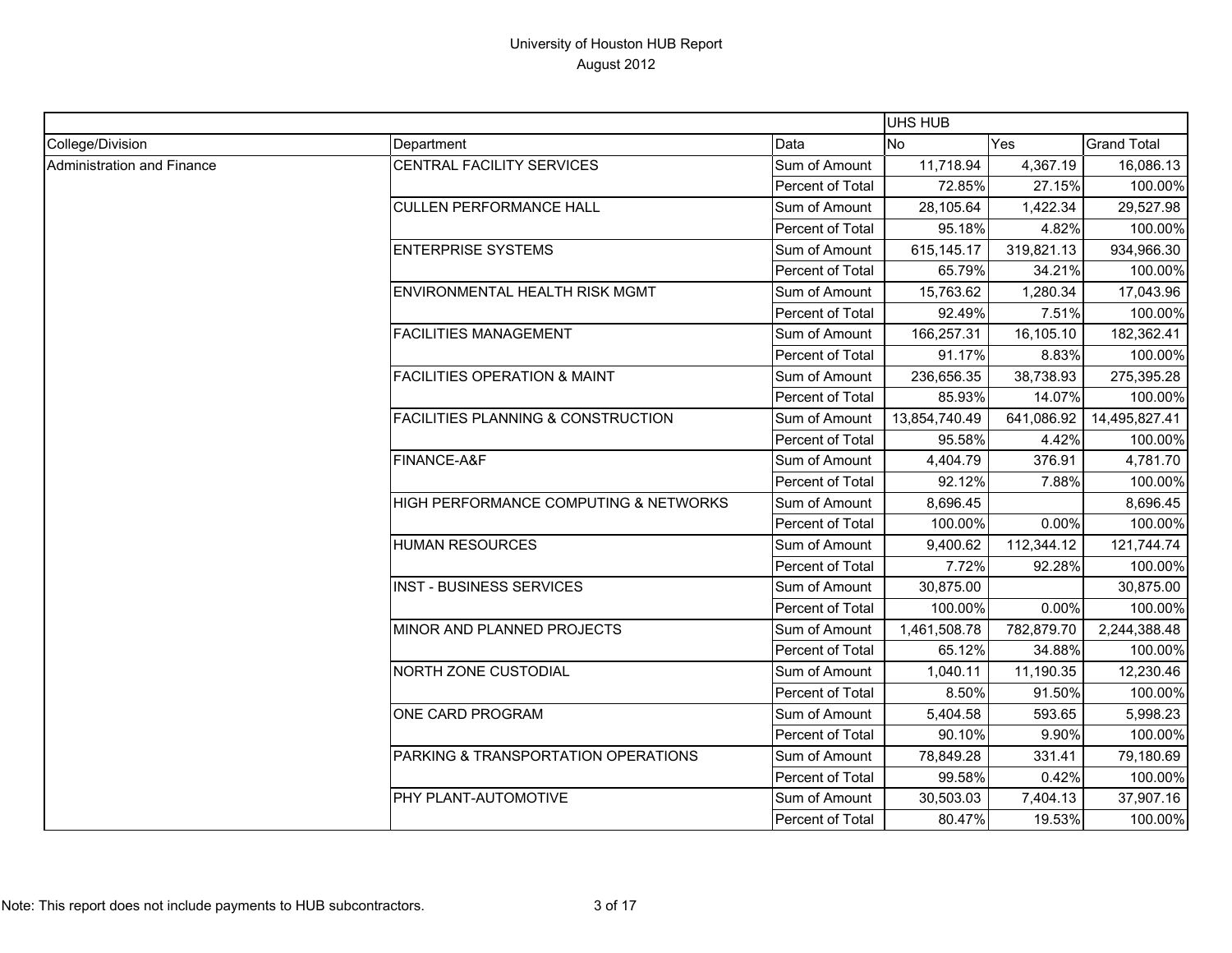|                            |                                               |                  | UHS HUB       |            |                    |
|----------------------------|-----------------------------------------------|------------------|---------------|------------|--------------------|
| College/Division           | Department                                    | Data             | <b>INo</b>    | Yes        | <b>Grand Total</b> |
| Administration and Finance | CENTRAL FACILITY SERVICES                     | Sum of Amount    | 11,718.94     | 4,367.19   | 16,086.13          |
|                            |                                               | Percent of Total | 72.85%        | 27.15%     | 100.00%            |
|                            | <b>CULLEN PERFORMANCE HALL</b>                | Sum of Amount    | 28,105.64     | 1,422.34   | 29,527.98          |
|                            |                                               | Percent of Total | 95.18%        | 4.82%      | 100.00%            |
|                            | <b>ENTERPRISE SYSTEMS</b>                     | Sum of Amount    | 615,145.17    | 319,821.13 | 934,966.30         |
|                            |                                               | Percent of Total | 65.79%        | 34.21%     | 100.00%            |
|                            | <b>ENVIRONMENTAL HEALTH RISK MGMT</b>         | Sum of Amount    | 15,763.62     | 1,280.34   | 17,043.96          |
|                            |                                               | Percent of Total | 92.49%        | 7.51%      | 100.00%            |
|                            | <b>FACILITIES MANAGEMENT</b>                  | Sum of Amount    | 166,257.31    | 16,105.10  | 182,362.41         |
|                            |                                               | Percent of Total | 91.17%        | 8.83%      | 100.00%            |
|                            | <b>FACILITIES OPERATION &amp; MAINT</b>       | Sum of Amount    | 236,656.35    | 38,738.93  | 275,395.28         |
|                            |                                               | Percent of Total | 85.93%        | 14.07%     | 100.00%            |
|                            | <b>FACILITIES PLANNING &amp; CONSTRUCTION</b> | Sum of Amount    | 13,854,740.49 | 641,086.92 | 14,495,827.41      |
|                            |                                               | Percent of Total | 95.58%        | 4.42%      | 100.00%            |
|                            | FINANCE-A&F                                   | Sum of Amount    | 4,404.79      | 376.91     | 4,781.70           |
|                            |                                               | Percent of Total | 92.12%        | 7.88%      | 100.00%            |
|                            | HIGH PERFORMANCE COMPUTING & NETWORKS         | Sum of Amount    | 8,696.45      |            | 8,696.45           |
|                            |                                               | Percent of Total | 100.00%       | 0.00%      | 100.00%            |
|                            | <b>HUMAN RESOURCES</b>                        | Sum of Amount    | 9,400.62      | 112,344.12 | 121,744.74         |
|                            |                                               | Percent of Total | 7.72%         | 92.28%     | 100.00%            |
|                            | <b>INST - BUSINESS SERVICES</b>               | Sum of Amount    | 30,875.00     |            | 30,875.00          |
|                            |                                               | Percent of Total | 100.00%       | 0.00%      | 100.00%            |
|                            | MINOR AND PLANNED PROJECTS                    | Sum of Amount    | 1,461,508.78  | 782,879.70 | 2,244,388.48       |
|                            |                                               | Percent of Total | 65.12%        | 34.88%     | 100.00%            |
|                            | NORTH ZONE CUSTODIAL                          | Sum of Amount    | 1,040.11      | 11,190.35  | 12,230.46          |
|                            |                                               | Percent of Total | 8.50%         | 91.50%     | 100.00%            |
|                            | ONE CARD PROGRAM                              | Sum of Amount    | 5,404.58      | 593.65     | 5,998.23           |
|                            |                                               | Percent of Total | 90.10%        | 9.90%      | 100.00%            |
|                            | PARKING & TRANSPORTATION OPERATIONS           | Sum of Amount    | 78,849.28     | 331.41     | 79,180.69          |
|                            |                                               | Percent of Total | 99.58%        | 0.42%      | 100.00%            |
|                            | PHY PLANT-AUTOMOTIVE                          | Sum of Amount    | 30,503.03     | 7,404.13   | 37,907.16          |
|                            |                                               | Percent of Total | 80.47%        | 19.53%     | 100.00%            |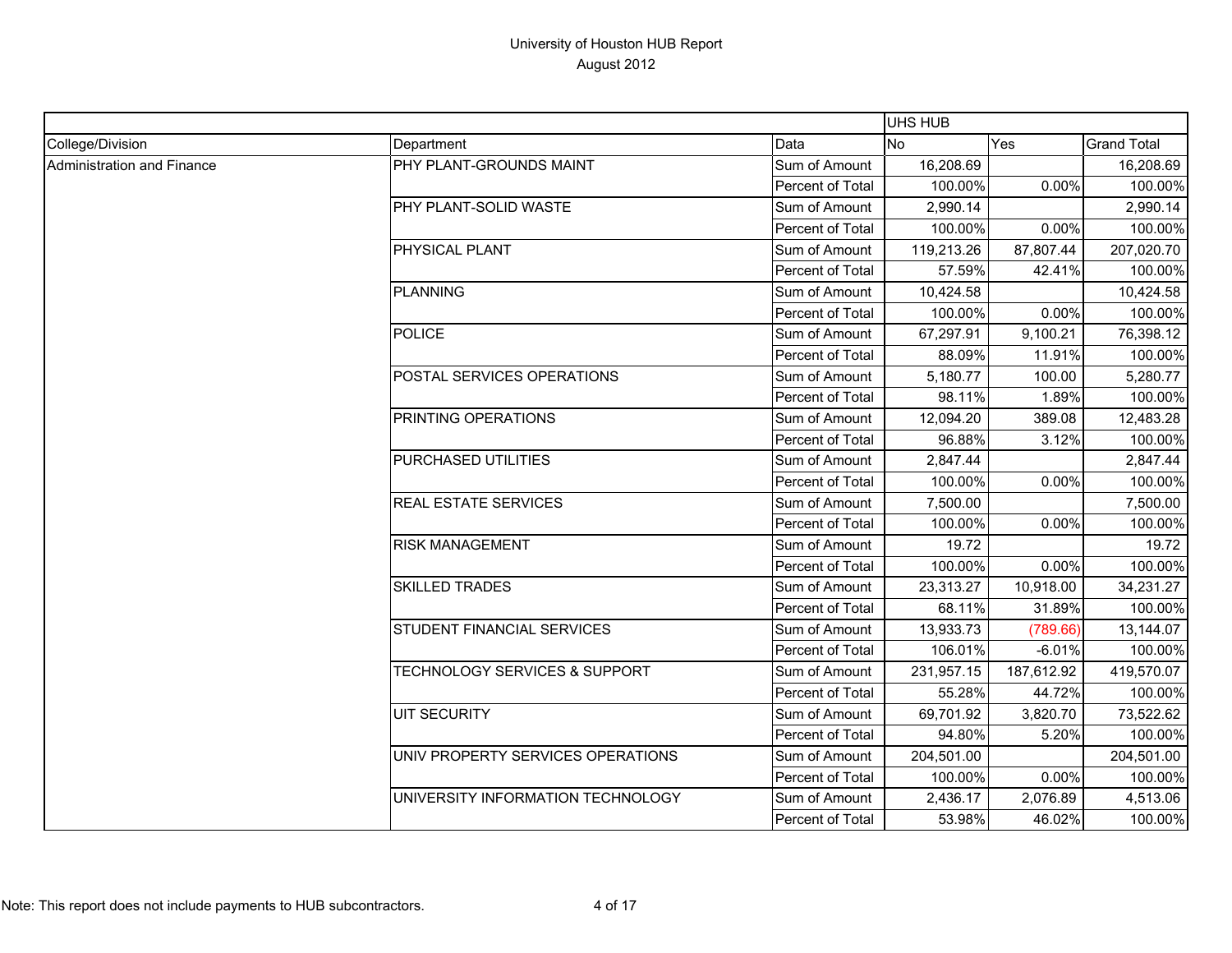|                            |                                          |                  | UHS HUB    |            |                    |
|----------------------------|------------------------------------------|------------------|------------|------------|--------------------|
| College/Division           | Department                               | Data             | <b>INo</b> | Yes        | <b>Grand Total</b> |
| Administration and Finance | PHY PLANT-GROUNDS MAINT                  | Sum of Amount    | 16,208.69  |            | 16,208.69          |
|                            |                                          | Percent of Total | 100.00%    | 0.00%      | 100.00%            |
|                            | PHY PLANT-SOLID WASTE                    | Sum of Amount    | 2,990.14   |            | 2,990.14           |
|                            |                                          | Percent of Total | 100.00%    | 0.00%      | 100.00%            |
|                            | PHYSICAL PLANT                           | Sum of Amount    | 119,213.26 | 87,807.44  | 207,020.70         |
|                            |                                          | Percent of Total | 57.59%     | 42.41%     | 100.00%            |
|                            | <b>PLANNING</b>                          | Sum of Amount    | 10,424.58  |            | 10,424.58          |
|                            |                                          | Percent of Total | 100.00%    | 0.00%      | 100.00%            |
|                            | <b>POLICE</b>                            | Sum of Amount    | 67,297.91  | 9,100.21   | 76,398.12          |
|                            |                                          | Percent of Total | 88.09%     | 11.91%     | 100.00%            |
|                            | POSTAL SERVICES OPERATIONS               | Sum of Amount    | 5,180.77   | 100.00     | 5,280.77           |
|                            |                                          | Percent of Total | 98.11%     | 1.89%      | 100.00%            |
|                            | PRINTING OPERATIONS                      | Sum of Amount    | 12,094.20  | 389.08     | 12,483.28          |
|                            |                                          | Percent of Total | 96.88%     | 3.12%      | 100.00%            |
|                            | PURCHASED UTILITIES                      | Sum of Amount    | 2,847.44   |            | 2,847.44           |
|                            |                                          | Percent of Total | 100.00%    | 0.00%      | 100.00%            |
|                            | REAL ESTATE SERVICES                     | Sum of Amount    | 7,500.00   |            | 7,500.00           |
|                            |                                          | Percent of Total | 100.00%    | 0.00%      | 100.00%            |
|                            | <b>RISK MANAGEMENT</b>                   | Sum of Amount    | 19.72      |            | 19.72              |
|                            |                                          | Percent of Total | 100.00%    | 0.00%      | 100.00%            |
|                            | <b>SKILLED TRADES</b>                    | Sum of Amount    | 23,313.27  | 10,918.00  | 34,231.27          |
|                            |                                          | Percent of Total | 68.11%     | 31.89%     | 100.00%            |
|                            | STUDENT FINANCIAL SERVICES               | Sum of Amount    | 13,933.73  | (789.66)   | 13,144.07          |
|                            |                                          | Percent of Total | 106.01%    | $-6.01%$   | 100.00%            |
|                            | <b>TECHNOLOGY SERVICES &amp; SUPPORT</b> | Sum of Amount    | 231,957.15 | 187,612.92 | 419,570.07         |
|                            |                                          | Percent of Total | 55.28%     | 44.72%     | 100.00%            |
|                            | <b>UIT SECURITY</b>                      | Sum of Amount    | 69,701.92  | 3,820.70   | 73,522.62          |
|                            |                                          | Percent of Total | 94.80%     | 5.20%      | 100.00%            |
|                            | UNIV PROPERTY SERVICES OPERATIONS        | Sum of Amount    | 204,501.00 |            | 204,501.00         |
|                            |                                          | Percent of Total | 100.00%    | 0.00%      | 100.00%            |
|                            | UNIVERSITY INFORMATION TECHNOLOGY        | Sum of Amount    | 2,436.17   | 2,076.89   | 4,513.06           |
|                            |                                          | Percent of Total | 53.98%     | 46.02%     | 100.00%            |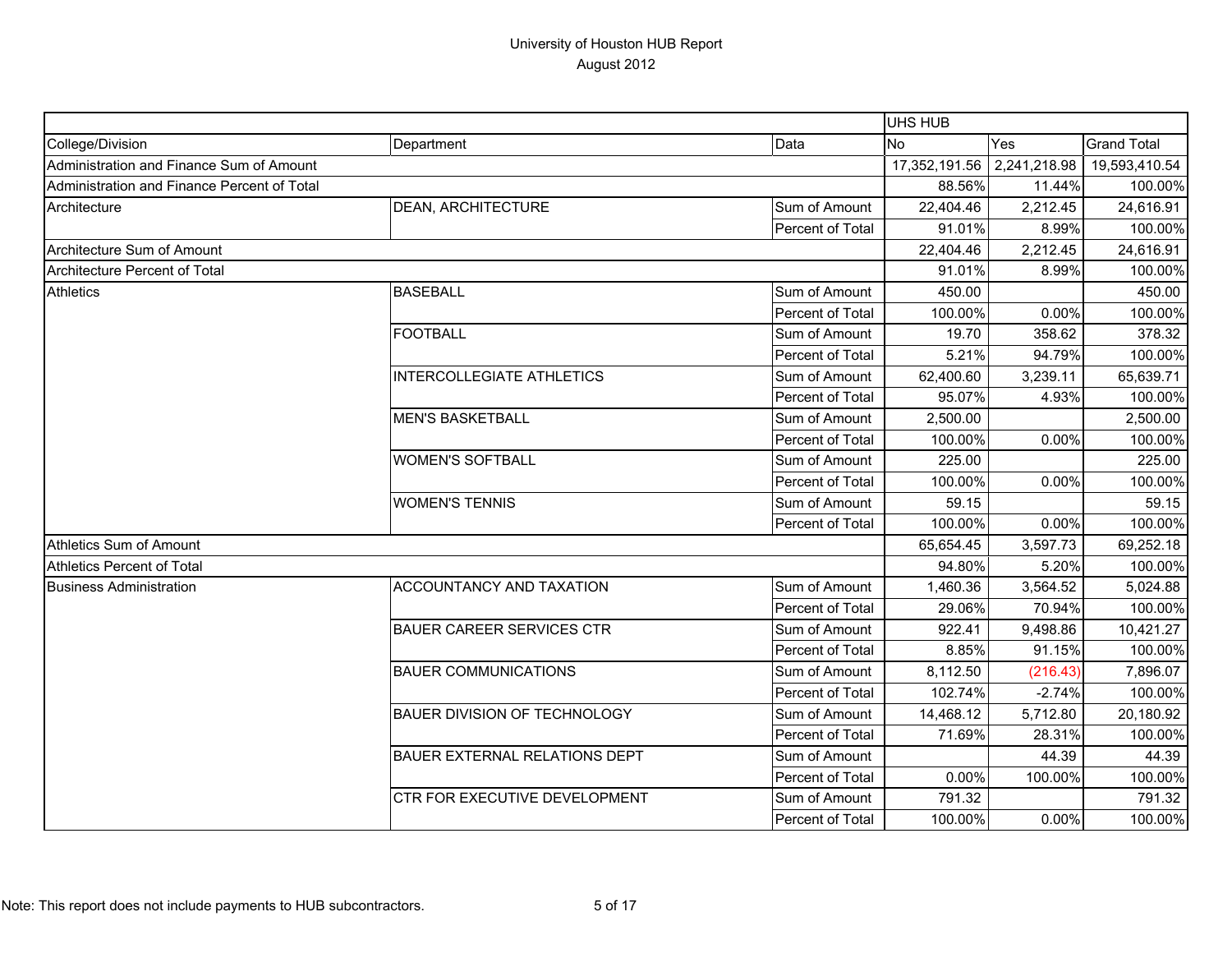|                                             |                                      |                  | UHS HUB       |              |                    |
|---------------------------------------------|--------------------------------------|------------------|---------------|--------------|--------------------|
| College/Division                            | Department                           | Data             | <b>No</b>     | Yes          | <b>Grand Total</b> |
| Administration and Finance Sum of Amount    |                                      |                  | 17,352,191.56 | 2,241,218.98 | 19,593,410.54      |
| Administration and Finance Percent of Total |                                      |                  | 88.56%        | 11.44%       | 100.00%            |
| Architecture                                | <b>DEAN, ARCHITECTURE</b>            | Sum of Amount    | 22,404.46     | 2,212.45     | 24,616.91          |
|                                             |                                      | Percent of Total | 91.01%        | 8.99%        | 100.00%            |
| Architecture Sum of Amount                  |                                      |                  |               | 2,212.45     | 24,616.91          |
| Architecture Percent of Total               |                                      |                  | 91.01%        | 8.99%        | 100.00%            |
| <b>Athletics</b>                            | <b>BASEBALL</b>                      | Sum of Amount    | 450.00        |              | 450.00             |
|                                             |                                      | Percent of Total | 100.00%       | 0.00%        | 100.00%            |
|                                             | <b>FOOTBALL</b>                      | Sum of Amount    | 19.70         | 358.62       | 378.32             |
|                                             |                                      | Percent of Total | 5.21%         | 94.79%       | 100.00%            |
|                                             | <b>INTERCOLLEGIATE ATHLETICS</b>     | Sum of Amount    | 62,400.60     | 3,239.11     | 65,639.71          |
|                                             |                                      | Percent of Total | 95.07%        | 4.93%        | 100.00%            |
|                                             | <b>MEN'S BASKETBALL</b>              | Sum of Amount    | 2,500.00      |              | 2,500.00           |
|                                             |                                      | Percent of Total | 100.00%       | 0.00%        | 100.00%            |
|                                             | <b>WOMEN'S SOFTBALL</b>              | Sum of Amount    | 225.00        |              | 225.00             |
|                                             |                                      | Percent of Total | 100.00%       | 0.00%        | 100.00%            |
|                                             | <b>WOMEN'S TENNIS</b>                | Sum of Amount    | 59.15         |              | 59.15              |
|                                             |                                      | Percent of Total | 100.00%       | 0.00%        | 100.00%            |
| Athletics Sum of Amount                     |                                      |                  | 65,654.45     | 3,597.73     | 69,252.18          |
| Athletics Percent of Total                  |                                      |                  | 94.80%        | 5.20%        | 100.00%            |
| <b>Business Administration</b>              | ACCOUNTANCY AND TAXATION             | Sum of Amount    | 1,460.36      | 3,564.52     | 5,024.88           |
|                                             |                                      | Percent of Total | 29.06%        | 70.94%       | 100.00%            |
|                                             | <b>BAUER CAREER SERVICES CTR</b>     | Sum of Amount    | 922.41        | 9,498.86     | 10,421.27          |
|                                             |                                      | Percent of Total | 8.85%         | 91.15%       | 100.00%            |
|                                             | <b>BAUER COMMUNICATIONS</b>          | Sum of Amount    | 8,112.50      | (216.43)     | 7,896.07           |
|                                             |                                      | Percent of Total | 102.74%       | $-2.74%$     | 100.00%            |
|                                             | <b>BAUER DIVISION OF TECHNOLOGY</b>  | Sum of Amount    | 14,468.12     | 5,712.80     | 20,180.92          |
|                                             |                                      | Percent of Total | 71.69%        | 28.31%       | 100.00%            |
|                                             | <b>BAUER EXTERNAL RELATIONS DEPT</b> | Sum of Amount    |               | 44.39        | 44.39              |
|                                             |                                      | Percent of Total | 0.00%         | 100.00%      | 100.00%            |
|                                             | CTR FOR EXECUTIVE DEVELOPMENT        | Sum of Amount    | 791.32        |              | 791.32             |
|                                             |                                      | Percent of Total | 100.00%       | 0.00%        | 100.00%            |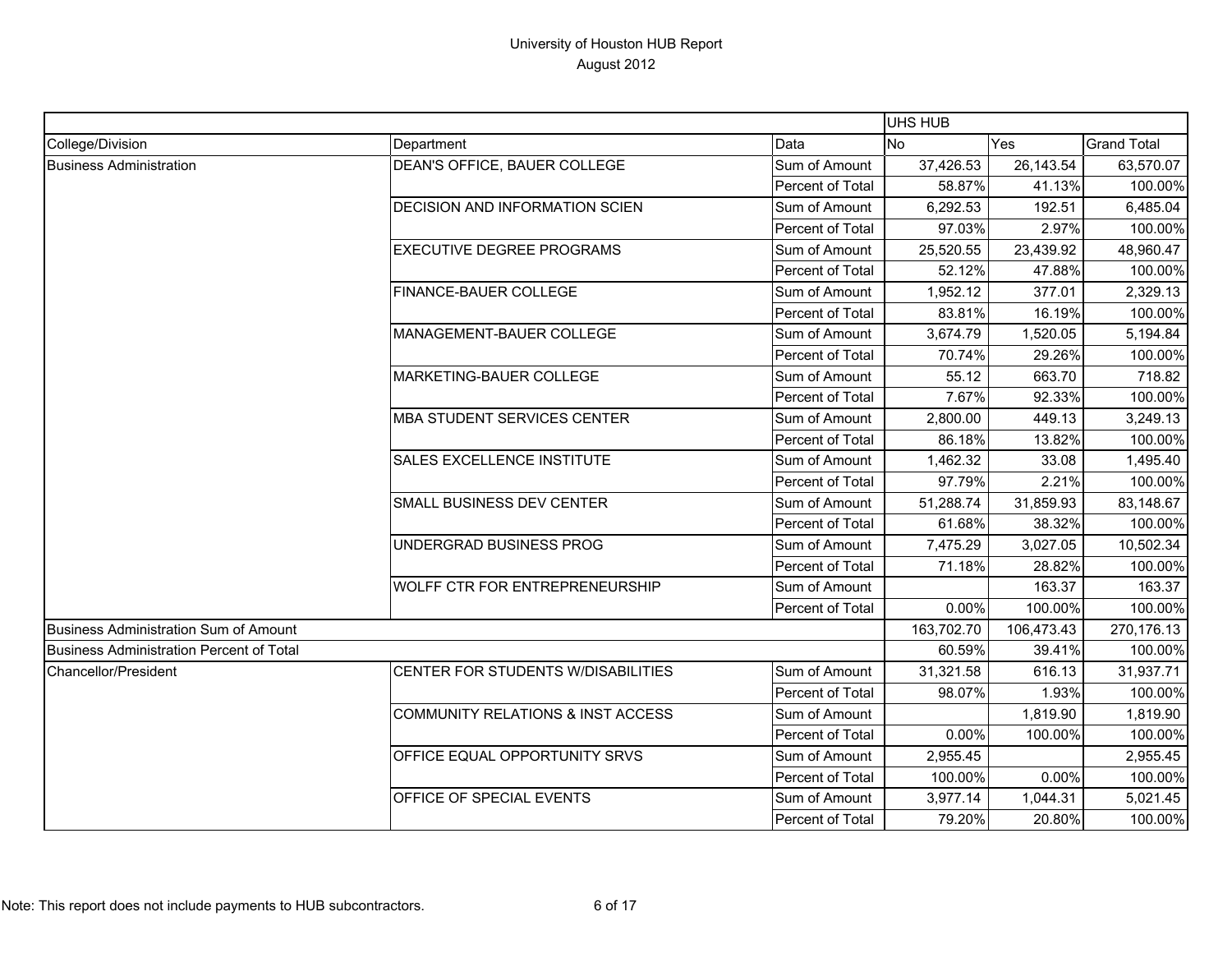|                                                 |                                              |                         | <b>UHS HUB</b> |            |                    |
|-------------------------------------------------|----------------------------------------------|-------------------------|----------------|------------|--------------------|
| College/Division                                | Department                                   | Data                    | <b>No</b>      | Yes        | <b>Grand Total</b> |
| <b>Business Administration</b>                  | DEAN'S OFFICE, BAUER COLLEGE                 | Sum of Amount           | 37,426.53      | 26,143.54  | 63,570.07          |
|                                                 |                                              | Percent of Total        | 58.87%         | 41.13%     | 100.00%            |
|                                                 | DECISION AND INFORMATION SCIEN               | Sum of Amount           | 6,292.53       | 192.51     | 6,485.04           |
|                                                 |                                              | Percent of Total        | 97.03%         | 2.97%      | 100.00%            |
|                                                 | <b>EXECUTIVE DEGREE PROGRAMS</b>             | Sum of Amount           | 25,520.55      | 23,439.92  | 48,960.47          |
|                                                 |                                              | <b>Percent of Total</b> | 52.12%         | 47.88%     | 100.00%            |
|                                                 | FINANCE-BAUER COLLEGE                        | Sum of Amount           | 1,952.12       | 377.01     | 2,329.13           |
|                                                 |                                              | Percent of Total        | 83.81%         | 16.19%     | 100.00%            |
|                                                 | MANAGEMENT-BAUER COLLEGE                     | Sum of Amount           | 3,674.79       | 1,520.05   | 5,194.84           |
|                                                 |                                              | Percent of Total        | 70.74%         | 29.26%     | 100.00%            |
|                                                 | MARKETING-BAUER COLLEGE                      | Sum of Amount           | 55.12          | 663.70     | 718.82             |
|                                                 |                                              | Percent of Total        | 7.67%          | 92.33%     | 100.00%            |
|                                                 | MBA STUDENT SERVICES CENTER                  | Sum of Amount           | 2,800.00       | 449.13     | 3,249.13           |
|                                                 |                                              | Percent of Total        | 86.18%         | 13.82%     | 100.00%            |
|                                                 | <b>SALES EXCELLENCE INSTITUTE</b>            | Sum of Amount           | 1,462.32       | 33.08      | 1,495.40           |
|                                                 |                                              | Percent of Total        | 97.79%         | 2.21%      | 100.00%            |
|                                                 | SMALL BUSINESS DEV CENTER                    | Sum of Amount           | 51,288.74      | 31,859.93  | 83,148.67          |
|                                                 |                                              | Percent of Total        | 61.68%         | 38.32%     | 100.00%            |
|                                                 | UNDERGRAD BUSINESS PROG                      | Sum of Amount           | 7,475.29       | 3,027.05   | 10,502.34          |
|                                                 |                                              | Percent of Total        | 71.18%         | 28.82%     | 100.00%            |
|                                                 | WOLFF CTR FOR ENTREPRENEURSHIP               | Sum of Amount           |                | 163.37     | 163.37             |
|                                                 |                                              | Percent of Total        | 0.00%          | 100.00%    | 100.00%            |
| Business Administration Sum of Amount           |                                              |                         | 163,702.70     | 106,473.43 | 270,176.13         |
| <b>Business Administration Percent of Total</b> |                                              |                         | 60.59%         | 39.41%     | 100.00%            |
| Chancellor/President                            | CENTER FOR STUDENTS W/DISABILITIES           | Sum of Amount           | 31,321.58      | 616.13     | 31,937.71          |
|                                                 |                                              | Percent of Total        | 98.07%         | 1.93%      | 100.00%            |
|                                                 | <b>COMMUNITY RELATIONS &amp; INST ACCESS</b> | Sum of Amount           |                | 1,819.90   | 1,819.90           |
|                                                 |                                              | Percent of Total        | 0.00%          | 100.00%    | 100.00%            |
|                                                 | OFFICE EQUAL OPPORTUNITY SRVS                | Sum of Amount           | 2,955.45       |            | 2,955.45           |
|                                                 |                                              | Percent of Total        | 100.00%        | 0.00%      | 100.00%            |
|                                                 | OFFICE OF SPECIAL EVENTS                     | Sum of Amount           | 3,977.14       | 1,044.31   | 5,021.45           |
|                                                 |                                              | Percent of Total        | 79.20%         | 20.80%     | 100.00%            |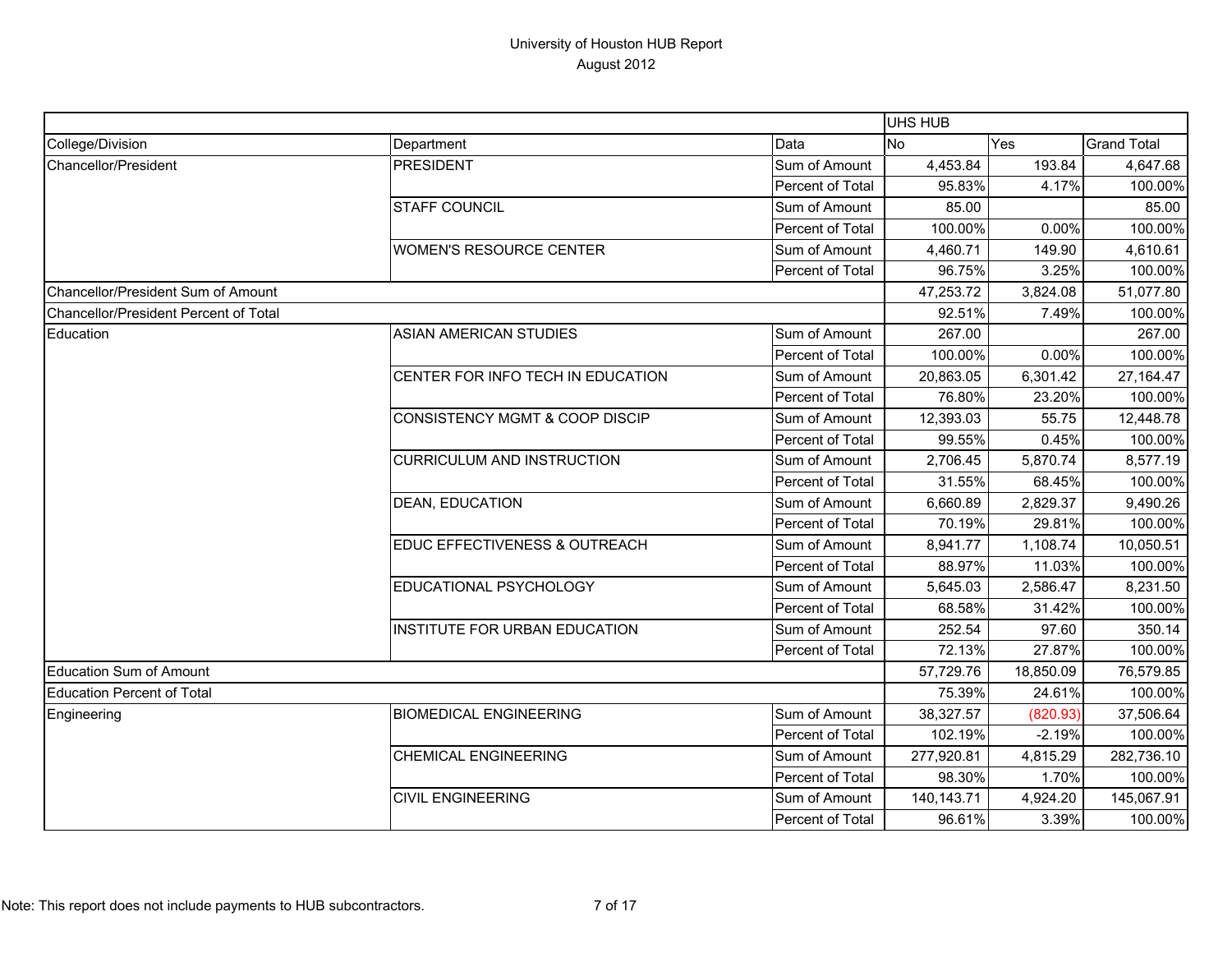|                                       |                                           |                  | <b>UHS HUB</b> |           |                    |
|---------------------------------------|-------------------------------------------|------------------|----------------|-----------|--------------------|
| College/Division                      | Department                                | Data             | No             | Yes       | <b>Grand Total</b> |
| <b>Chancellor/President</b>           | <b>PRESIDENT</b>                          | Sum of Amount    | 4,453.84       | 193.84    | 4,647.68           |
|                                       |                                           | Percent of Total | 95.83%         | 4.17%     | 100.00%            |
|                                       | <b>STAFF COUNCIL</b>                      | Sum of Amount    | 85.00          |           | 85.00              |
|                                       |                                           | Percent of Total | 100.00%        | 0.00%     | 100.00%            |
|                                       | <b>WOMEN'S RESOURCE CENTER</b>            | Sum of Amount    | 4,460.71       | 149.90    | 4,610.61           |
|                                       |                                           | Percent of Total | 96.75%         | 3.25%     | 100.00%            |
| Chancellor/President Sum of Amount    |                                           |                  | 47,253.72      | 3,824.08  | 51,077.80          |
| Chancellor/President Percent of Total |                                           |                  | 92.51%         | 7.49%     | 100.00%            |
| Education                             | <b>ASIAN AMERICAN STUDIES</b>             | Sum of Amount    | 267.00         |           | 267.00             |
|                                       |                                           | Percent of Total | 100.00%        | 0.00%     | 100.00%            |
|                                       | CENTER FOR INFO TECH IN EDUCATION         | Sum of Amount    | 20,863.05      | 6,301.42  | 27,164.47          |
|                                       |                                           | Percent of Total | 76.80%         | 23.20%    | 100.00%            |
|                                       | <b>CONSISTENCY MGMT &amp; COOP DISCIP</b> | Sum of Amount    | 12,393.03      | 55.75     | 12,448.78          |
|                                       |                                           | Percent of Total | 99.55%         | 0.45%     | 100.00%            |
|                                       | <b>CURRICULUM AND INSTRUCTION</b>         | Sum of Amount    | 2,706.45       | 5,870.74  | 8,577.19           |
|                                       |                                           | Percent of Total | 31.55%         | 68.45%    | 100.00%            |
|                                       | <b>DEAN, EDUCATION</b>                    | Sum of Amount    | 6,660.89       | 2,829.37  | 9,490.26           |
|                                       |                                           | Percent of Total | 70.19%         | 29.81%    | 100.00%            |
|                                       | EDUC EFFECTIVENESS & OUTREACH             | Sum of Amount    | 8,941.77       | 1,108.74  | 10,050.51          |
|                                       |                                           | Percent of Total | 88.97%         | 11.03%    | 100.00%            |
|                                       | EDUCATIONAL PSYCHOLOGY                    | Sum of Amount    | 5,645.03       | 2,586.47  | 8,231.50           |
|                                       |                                           | Percent of Total | 68.58%         | 31.42%    | 100.00%            |
|                                       | INSTITUTE FOR URBAN EDUCATION             | Sum of Amount    | 252.54         | 97.60     | 350.14             |
|                                       |                                           | Percent of Total | 72.13%         | 27.87%    | 100.00%            |
| <b>Education Sum of Amount</b>        |                                           |                  | 57,729.76      | 18,850.09 | 76,579.85          |
| <b>Education Percent of Total</b>     |                                           |                  | 75.39%         | 24.61%    | 100.00%            |
| Engineering                           | <b>BIOMEDICAL ENGINEERING</b>             | Sum of Amount    | 38,327.57      | (820.93)  | 37,506.64          |
|                                       |                                           | Percent of Total | 102.19%        | $-2.19%$  | 100.00%            |
|                                       | <b>CHEMICAL ENGINEERING</b>               | Sum of Amount    | 277,920.81     | 4,815.29  | 282,736.10         |
|                                       |                                           | Percent of Total | 98.30%         | 1.70%     | 100.00%            |
|                                       | <b>CIVIL ENGINEERING</b>                  | Sum of Amount    | 140,143.71     | 4,924.20  | 145,067.91         |
|                                       |                                           | Percent of Total | 96.61%         | 3.39%     | 100.00%            |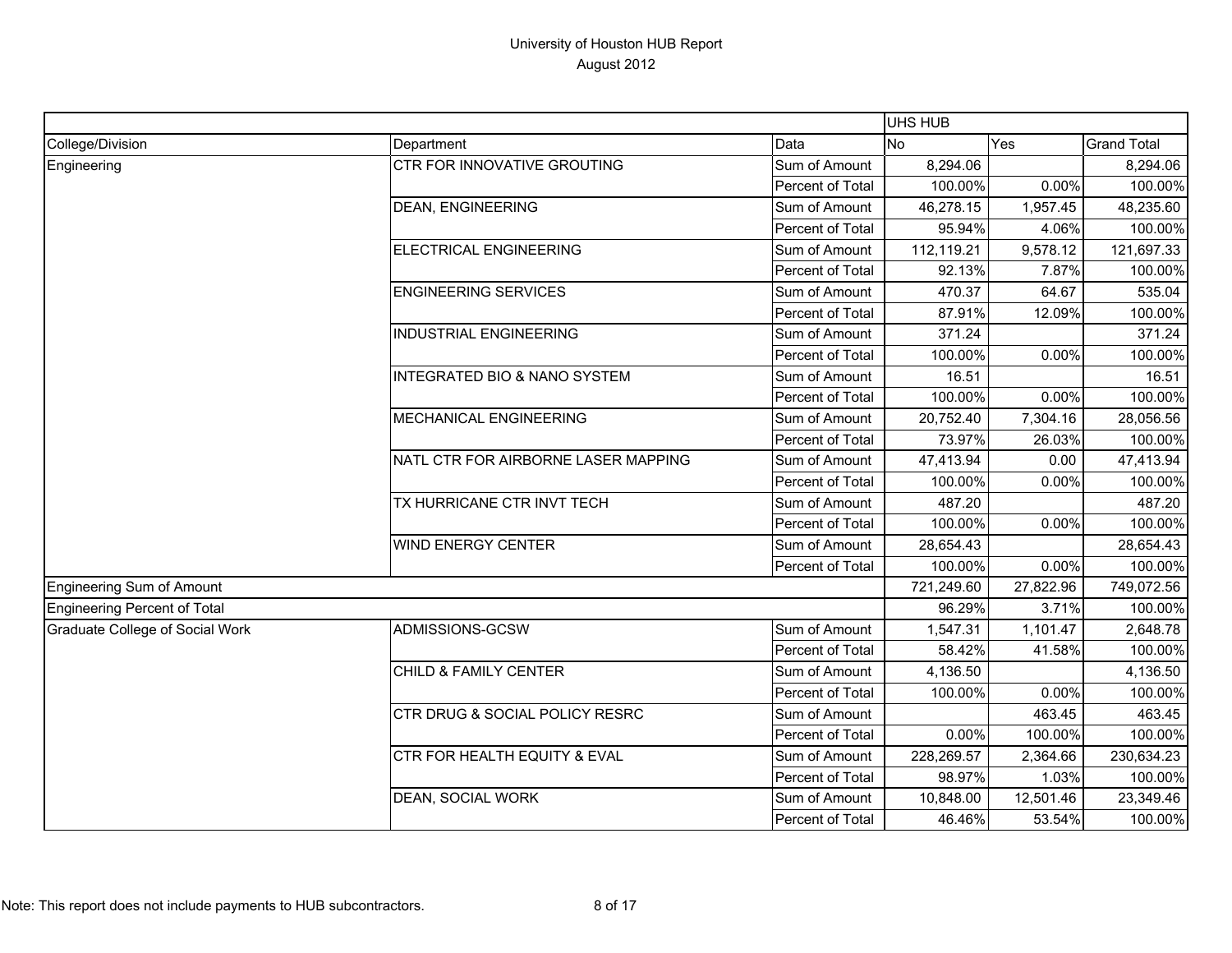|                                 |                                     |                  | UHS HUB    |           |                    |
|---------------------------------|-------------------------------------|------------------|------------|-----------|--------------------|
| College/Division                | Department                          | Data             | <b>No</b>  | Yes       | <b>Grand Total</b> |
| Engineering                     | CTR FOR INNOVATIVE GROUTING         | Sum of Amount    | 8,294.06   |           | 8,294.06           |
|                                 |                                     | Percent of Total | 100.00%    | 0.00%     | 100.00%            |
|                                 | <b>DEAN, ENGINEERING</b>            | Sum of Amount    | 46,278.15  | 1,957.45  | 48,235.60          |
|                                 |                                     | Percent of Total | 95.94%     | 4.06%     | 100.00%            |
|                                 | ELECTRICAL ENGINEERING              | Sum of Amount    | 112,119.21 | 9,578.12  | 121,697.33         |
|                                 |                                     | Percent of Total | 92.13%     | 7.87%     | 100.00%            |
|                                 | <b>ENGINEERING SERVICES</b>         | Sum of Amount    | 470.37     | 64.67     | 535.04             |
|                                 |                                     | Percent of Total | 87.91%     | 12.09%    | 100.00%            |
|                                 | <b>INDUSTRIAL ENGINEERING</b>       | Sum of Amount    | 371.24     |           | 371.24             |
|                                 |                                     | Percent of Total | 100.00%    | 0.00%     | 100.00%            |
|                                 | INTEGRATED BIO & NANO SYSTEM        | Sum of Amount    | 16.51      |           | 16.51              |
|                                 |                                     | Percent of Total | 100.00%    | 0.00%     | 100.00%            |
|                                 | <b>MECHANICAL ENGINEERING</b>       | Sum of Amount    | 20,752.40  | 7,304.16  | 28,056.56          |
|                                 |                                     | Percent of Total | 73.97%     | 26.03%    | 100.00%            |
|                                 | NATL CTR FOR AIRBORNE LASER MAPPING | Sum of Amount    | 47,413.94  | 0.00      | 47,413.94          |
|                                 |                                     | Percent of Total | 100.00%    | 0.00%     | 100.00%            |
|                                 | TX HURRICANE CTR INVT TECH          | Sum of Amount    | 487.20     |           | 487.20             |
|                                 |                                     | Percent of Total | 100.00%    | 0.00%     | 100.00%            |
|                                 | <b>WIND ENERGY CENTER</b>           | Sum of Amount    | 28,654.43  |           | 28,654.43          |
|                                 |                                     | Percent of Total | 100.00%    | 0.00%     | 100.00%            |
| Engineering Sum of Amount       |                                     |                  | 721,249.60 | 27,822.96 | 749,072.56         |
| Engineering Percent of Total    |                                     |                  | 96.29%     | 3.71%     | 100.00%            |
| Graduate College of Social Work | ADMISSIONS-GCSW                     | Sum of Amount    | 1,547.31   | 1,101.47  | 2,648.78           |
|                                 |                                     | Percent of Total | 58.42%     | 41.58%    | 100.00%            |
|                                 | CHILD & FAMILY CENTER               | Sum of Amount    | 4,136.50   |           | 4,136.50           |
|                                 |                                     | Percent of Total | 100.00%    | 0.00%     | 100.00%            |
|                                 | CTR DRUG & SOCIAL POLICY RESRC      | Sum of Amount    |            | 463.45    | 463.45             |
|                                 |                                     | Percent of Total | 0.00%      | 100.00%   | 100.00%            |
|                                 | CTR FOR HEALTH EQUITY & EVAL        | Sum of Amount    | 228,269.57 | 2,364.66  | 230,634.23         |
|                                 |                                     | Percent of Total | 98.97%     | 1.03%     | 100.00%            |
|                                 | <b>DEAN, SOCIAL WORK</b>            | Sum of Amount    | 10,848.00  | 12,501.46 | 23,349.46          |
|                                 |                                     | Percent of Total | 46.46%     | 53.54%    | 100.00%            |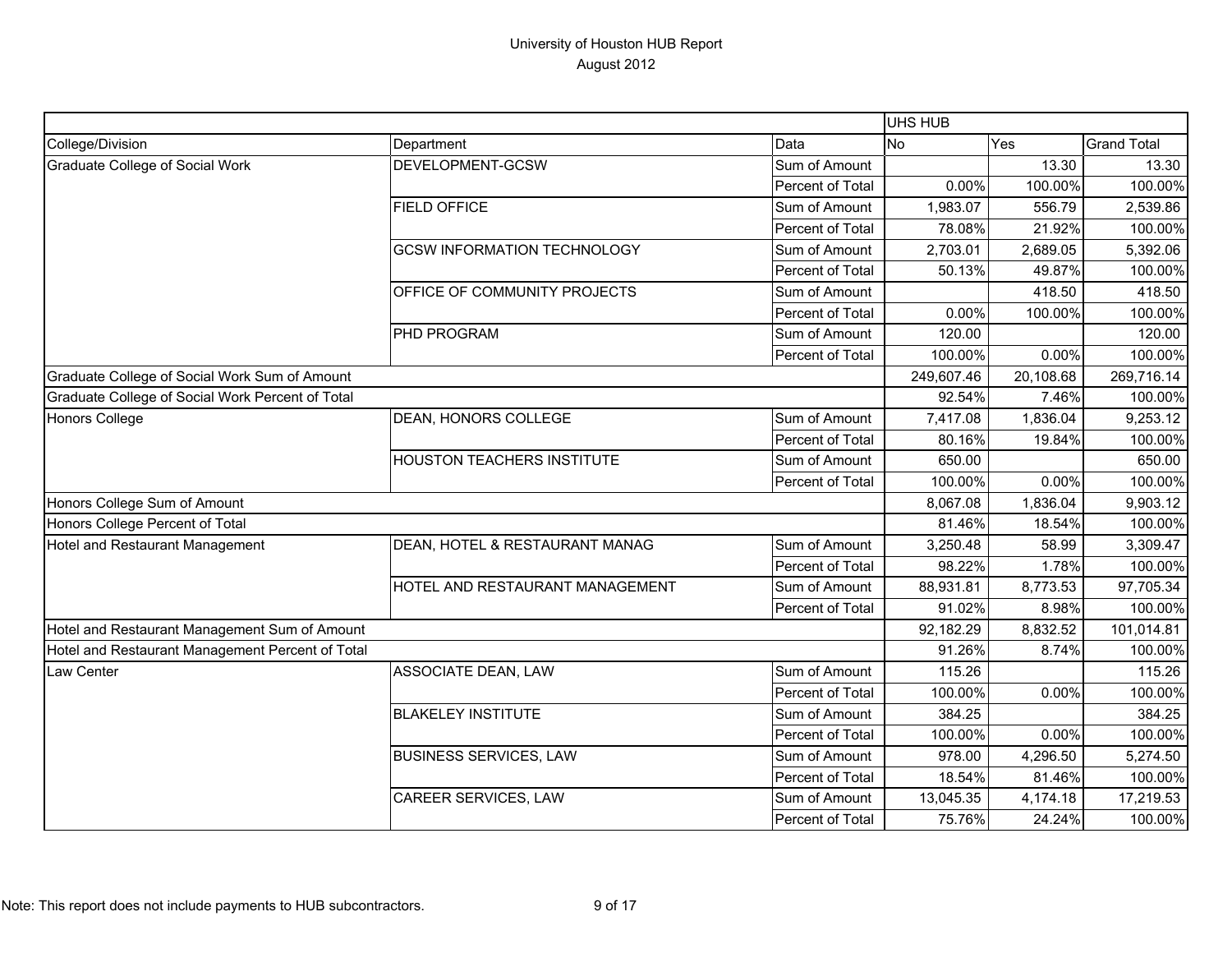|                                                  |                                    |                         | <b>UHS HUB</b> |           |                    |
|--------------------------------------------------|------------------------------------|-------------------------|----------------|-----------|--------------------|
| College/Division                                 | Department                         | Data                    | <b>No</b>      | Yes       | <b>Grand Total</b> |
| Graduate College of Social Work                  | DEVELOPMENT-GCSW                   | Sum of Amount           |                | 13.30     | 13.30              |
|                                                  |                                    | Percent of Total        | 0.00%          | 100.00%   | 100.00%            |
|                                                  | <b>FIELD OFFICE</b>                | Sum of Amount           | 1,983.07       | 556.79    | 2,539.86           |
|                                                  |                                    | Percent of Total        | 78.08%         | 21.92%    | 100.00%            |
|                                                  | <b>GCSW INFORMATION TECHNOLOGY</b> | Sum of Amount           | 2,703.01       | 2,689.05  | 5,392.06           |
|                                                  |                                    | Percent of Total        | 50.13%         | 49.87%    | 100.00%            |
|                                                  | OFFICE OF COMMUNITY PROJECTS       | Sum of Amount           |                | 418.50    | 418.50             |
|                                                  |                                    | Percent of Total        | 0.00%          | 100.00%   | 100.00%            |
|                                                  | PHD PROGRAM                        | Sum of Amount           | 120.00         |           | 120.00             |
|                                                  |                                    | Percent of Total        | 100.00%        | 0.00%     | 100.00%            |
| Graduate College of Social Work Sum of Amount    |                                    |                         | 249,607.46     | 20,108.68 | 269,716.14         |
| Graduate College of Social Work Percent of Total |                                    |                         | 92.54%         | 7.46%     | 100.00%            |
| <b>Honors College</b>                            | DEAN, HONORS COLLEGE               | Sum of Amount           | 7,417.08       | 1,836.04  | 9,253.12           |
|                                                  |                                    | Percent of Total        | 80.16%         | 19.84%    | 100.00%            |
|                                                  | HOUSTON TEACHERS INSTITUTE         | Sum of Amount           | 650.00         |           | 650.00             |
|                                                  |                                    | Percent of Total        | 100.00%        | 0.00%     | 100.00%            |
| Honors College Sum of Amount                     |                                    |                         | 8,067.08       | 1,836.04  | 9,903.12           |
| Honors College Percent of Total                  |                                    |                         | 81.46%         | 18.54%    | 100.00%            |
| Hotel and Restaurant Management                  | DEAN, HOTEL & RESTAURANT MANAG     | Sum of Amount           | 3,250.48       | 58.99     | 3,309.47           |
|                                                  |                                    | <b>Percent of Total</b> | 98.22%         | 1.78%     | 100.00%            |
|                                                  | HOTEL AND RESTAURANT MANAGEMENT    | Sum of Amount           | 88,931.81      | 8,773.53  | 97,705.34          |
|                                                  |                                    | Percent of Total        | 91.02%         | 8.98%     | 100.00%            |
| Hotel and Restaurant Management Sum of Amount    |                                    |                         | 92,182.29      | 8,832.52  | 101,014.81         |
| Hotel and Restaurant Management Percent of Total |                                    |                         | 91.26%         | 8.74%     | 100.00%            |
| Law Center                                       | ASSOCIATE DEAN, LAW                | Sum of Amount           | 115.26         |           | 115.26             |
|                                                  |                                    | Percent of Total        | 100.00%        | 0.00%     | 100.00%            |
|                                                  | <b>BLAKELEY INSTITUTE</b>          | Sum of Amount           | 384.25         |           | 384.25             |
|                                                  |                                    | Percent of Total        | 100.00%        | 0.00%     | 100.00%            |
|                                                  | <b>BUSINESS SERVICES, LAW</b>      | Sum of Amount           | 978.00         | 4,296.50  | 5,274.50           |
|                                                  |                                    | Percent of Total        | 18.54%         | 81.46%    | 100.00%            |
|                                                  | CAREER SERVICES, LAW               | Sum of Amount           | 13,045.35      | 4,174.18  | 17,219.53          |
|                                                  |                                    | Percent of Total        | 75.76%         | 24.24%    | 100.00%            |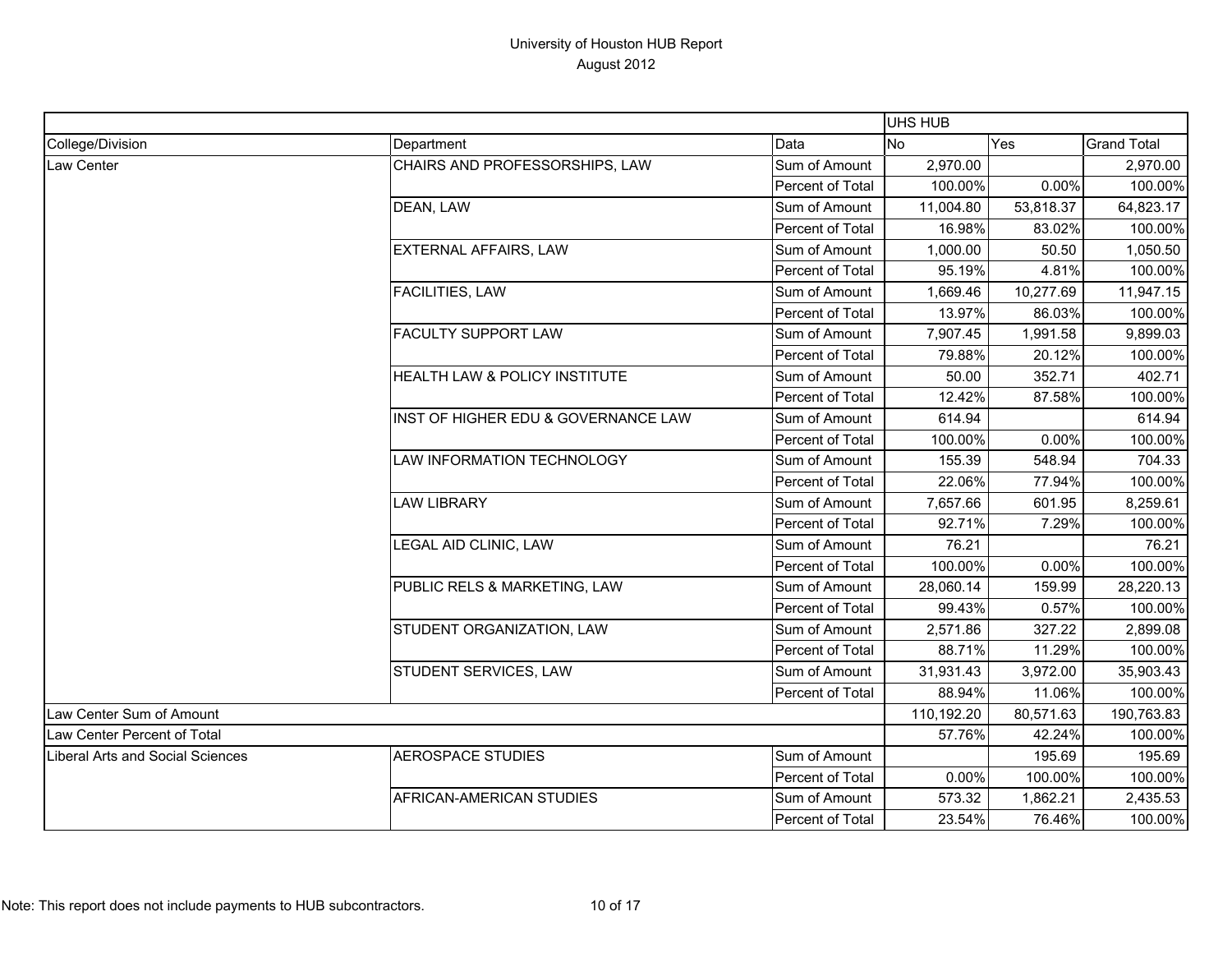|                                  |                                     |                  | UHS HUB    |           |                    |
|----------------------------------|-------------------------------------|------------------|------------|-----------|--------------------|
| College/Division                 | Department                          | Data             | <b>No</b>  | Yes       | <b>Grand Total</b> |
| <b>Law Center</b>                | CHAIRS AND PROFESSORSHIPS, LAW      | Sum of Amount    | 2,970.00   |           | 2,970.00           |
|                                  |                                     | Percent of Total | 100.00%    | 0.00%     | 100.00%            |
|                                  | DEAN, LAW                           | Sum of Amount    | 11,004.80  | 53,818.37 | 64,823.17          |
|                                  |                                     | Percent of Total | 16.98%     | 83.02%    | 100.00%            |
|                                  | <b>EXTERNAL AFFAIRS, LAW</b>        | Sum of Amount    | 1,000.00   | 50.50     | 1,050.50           |
|                                  |                                     | Percent of Total | 95.19%     | 4.81%     | 100.00%            |
|                                  | <b>FACILITIES, LAW</b>              | Sum of Amount    | 1,669.46   | 10,277.69 | 11,947.15          |
|                                  |                                     | Percent of Total | 13.97%     | 86.03%    | 100.00%            |
|                                  | <b>FACULTY SUPPORT LAW</b>          | Sum of Amount    | 7,907.45   | 1,991.58  | 9,899.03           |
|                                  |                                     | Percent of Total | 79.88%     | 20.12%    | 100.00%            |
|                                  | HEALTH LAW & POLICY INSTITUTE       | Sum of Amount    | 50.00      | 352.71    | 402.71             |
|                                  |                                     | Percent of Total | 12.42%     | 87.58%    | 100.00%            |
|                                  | INST OF HIGHER EDU & GOVERNANCE LAW | Sum of Amount    | 614.94     |           | 614.94             |
|                                  |                                     | Percent of Total | 100.00%    | 0.00%     | 100.00%            |
|                                  | LAW INFORMATION TECHNOLOGY          | Sum of Amount    | 155.39     | 548.94    | 704.33             |
|                                  |                                     | Percent of Total | 22.06%     | 77.94%    | 100.00%            |
|                                  | <b>LAW LIBRARY</b>                  | Sum of Amount    | 7,657.66   | 601.95    | 8,259.61           |
|                                  |                                     | Percent of Total | 92.71%     | 7.29%     | 100.00%            |
|                                  | LEGAL AID CLINIC, LAW               | Sum of Amount    | 76.21      |           | 76.21              |
|                                  |                                     | Percent of Total | 100.00%    | 0.00%     | 100.00%            |
|                                  | PUBLIC RELS & MARKETING, LAW        | Sum of Amount    | 28,060.14  | 159.99    | 28,220.13          |
|                                  |                                     | Percent of Total | 99.43%     | 0.57%     | 100.00%            |
|                                  | STUDENT ORGANIZATION, LAW           | Sum of Amount    | 2,571.86   | 327.22    | 2,899.08           |
|                                  |                                     | Percent of Total | 88.71%     | 11.29%    | 100.00%            |
|                                  | STUDENT SERVICES, LAW               | Sum of Amount    | 31,931.43  | 3,972.00  | 35,903.43          |
|                                  |                                     | Percent of Total | 88.94%     | 11.06%    | 100.00%            |
| Law Center Sum of Amount         |                                     |                  | 110,192.20 | 80,571.63 | 190,763.83         |
| Law Center Percent of Total      |                                     |                  | 57.76%     | 42.24%    | 100.00%            |
| Liberal Arts and Social Sciences | <b>AEROSPACE STUDIES</b>            | Sum of Amount    |            | 195.69    | 195.69             |
|                                  |                                     | Percent of Total | 0.00%      | 100.00%   | 100.00%            |
|                                  | AFRICAN-AMERICAN STUDIES            | Sum of Amount    | 573.32     | 1,862.21  | 2,435.53           |
|                                  |                                     | Percent of Total | 23.54%     | 76.46%    | 100.00%            |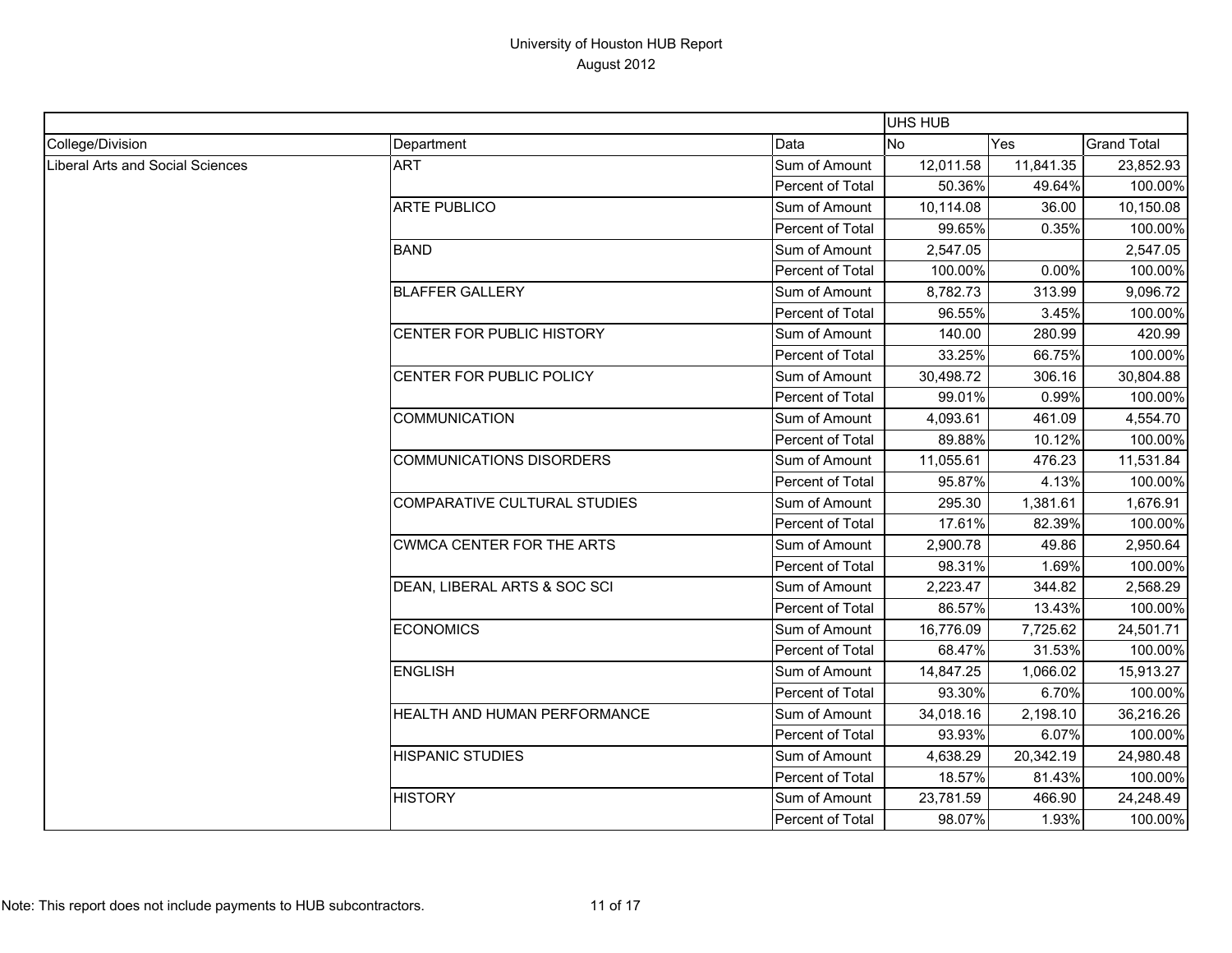|                                  |                                            |                         | <b>UHS HUB</b> |           |                    |
|----------------------------------|--------------------------------------------|-------------------------|----------------|-----------|--------------------|
| College/Division                 | Department                                 | Data                    | <b>No</b>      | Yes       | <b>Grand Total</b> |
| Liberal Arts and Social Sciences | <b>ART</b>                                 | Sum of Amount           | 12,011.58      | 11,841.35 | 23,852.93          |
|                                  |                                            | Percent of Total        | 50.36%         | 49.64%    | 100.00%            |
|                                  | <b>ARTE PUBLICO</b>                        | Sum of Amount           | 10,114.08      | 36.00     | 10,150.08          |
|                                  |                                            | Percent of Total        | 99.65%         | 0.35%     | 100.00%            |
|                                  | <b>BAND</b>                                | Sum of Amount           | 2,547.05       |           | 2,547.05           |
|                                  |                                            | Percent of Total        | 100.00%        | 0.00%     | 100.00%            |
|                                  | <b>BLAFFER GALLERY</b>                     | Sum of Amount           | 8,782.73       | 313.99    | 9,096.72           |
|                                  |                                            | Percent of Total        | 96.55%         | 3.45%     | 100.00%            |
|                                  | CENTER FOR PUBLIC HISTORY<br>Sum of Amount | 140.00                  | 280.99         | 420.99    |                    |
|                                  |                                            | Percent of Total        | 33.25%         | 66.75%    | 100.00%            |
|                                  | CENTER FOR PUBLIC POLICY                   | Sum of Amount           | 30,498.72      | 306.16    | 30,804.88          |
|                                  |                                            | Percent of Total        | 99.01%         | 0.99%     | 100.00%            |
|                                  | <b>COMMUNICATION</b>                       | Sum of Amount           | 4,093.61       | 461.09    | 4,554.70           |
|                                  |                                            | Percent of Total        | 89.88%         | 10.12%    | 100.00%            |
|                                  | <b>COMMUNICATIONS DISORDERS</b>            | Sum of Amount           | 11,055.61      | 476.23    | 11,531.84          |
|                                  |                                            | Percent of Total        | 95.87%         | 4.13%     | 100.00%            |
|                                  | COMPARATIVE CULTURAL STUDIES               | Sum of Amount           | 295.30         | 1,381.61  | 1,676.91           |
|                                  |                                            | Percent of Total        | 17.61%         | 82.39%    | 100.00%            |
|                                  | <b>CWMCA CENTER FOR THE ARTS</b>           | Sum of Amount           | 2,900.78       | 49.86     | 2,950.64           |
|                                  |                                            | Percent of Total        | 98.31%         | 1.69%     | 100.00%            |
|                                  | DEAN, LIBERAL ARTS & SOC SCI               | Sum of Amount           | 2,223.47       | 344.82    | 2,568.29           |
|                                  |                                            | Percent of Total        | 86.57%         | 13.43%    | 100.00%            |
|                                  | <b>ECONOMICS</b>                           | Sum of Amount           | 16,776.09      | 7,725.62  | 24,501.71          |
|                                  |                                            | Percent of Total        | 68.47%         | 31.53%    | 100.00%            |
|                                  | <b>ENGLISH</b>                             | Sum of Amount           | 14,847.25      | 1,066.02  | 15,913.27          |
|                                  |                                            | <b>Percent of Total</b> | 93.30%         | 6.70%     | 100.00%            |
|                                  | HEALTH AND HUMAN PERFORMANCE               | Sum of Amount           | 34,018.16      | 2,198.10  | 36,216.26          |
|                                  |                                            | Percent of Total        | 93.93%         | 6.07%     | 100.00%            |
|                                  | <b>HISPANIC STUDIES</b>                    | Sum of Amount           | 4,638.29       | 20,342.19 | 24,980.48          |
|                                  |                                            | Percent of Total        | 18.57%         | 81.43%    | 100.00%            |
|                                  | <b>HISTORY</b>                             | Sum of Amount           | 23,781.59      | 466.90    | 24,248.49          |
|                                  |                                            | Percent of Total        | 98.07%         | 1.93%     | 100.00%            |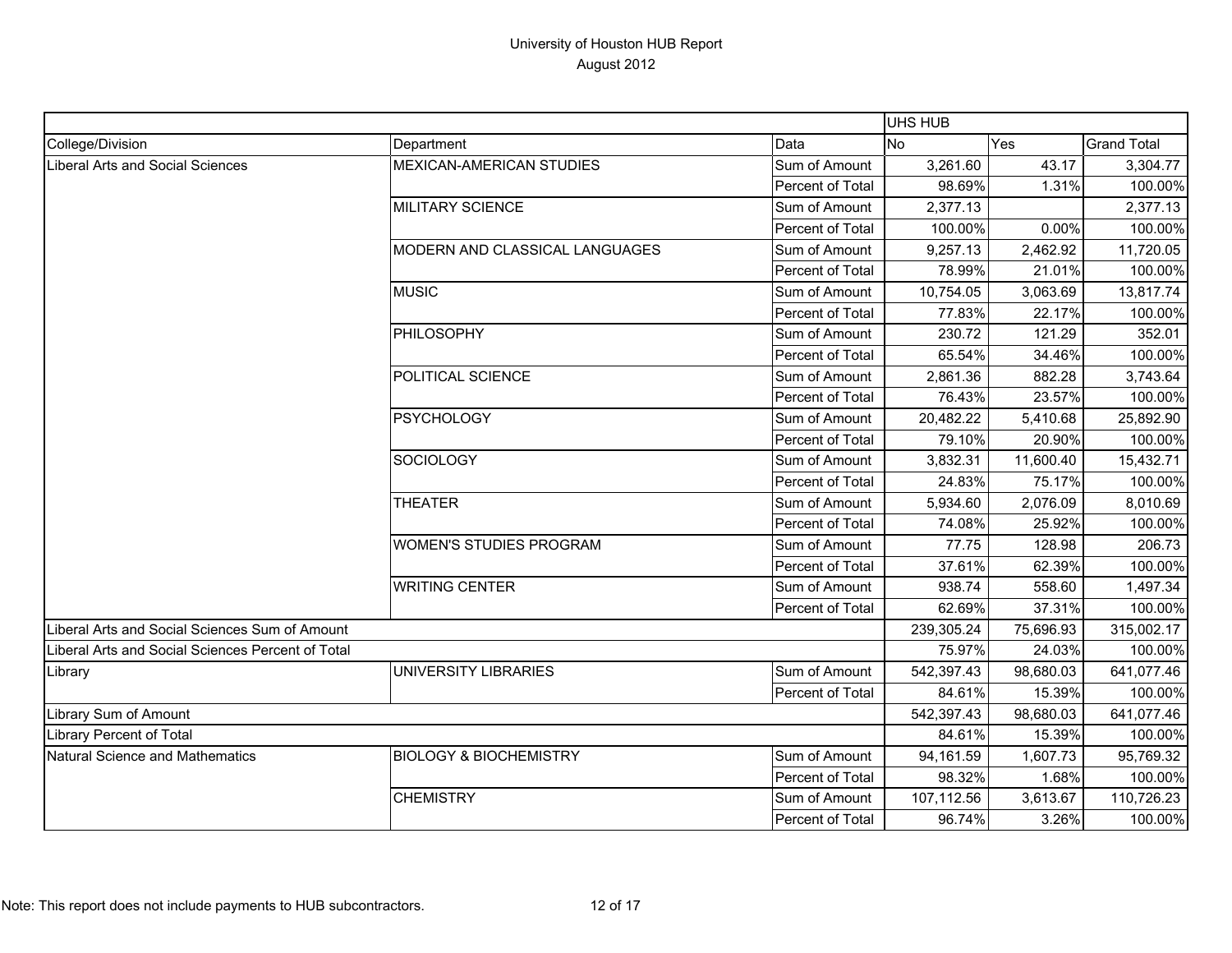|                                                   |                                   |                  | UHS HUB    |           |                    |
|---------------------------------------------------|-----------------------------------|------------------|------------|-----------|--------------------|
| College/Division                                  | Department                        | Data             | <b>No</b>  | Yes       | <b>Grand Total</b> |
| <b>Liberal Arts and Social Sciences</b>           | <b>MEXICAN-AMERICAN STUDIES</b>   | Sum of Amount    | 3,261.60   | 43.17     | 3,304.77           |
|                                                   |                                   | Percent of Total | 98.69%     | 1.31%     | 100.00%            |
|                                                   | <b>MILITARY SCIENCE</b>           | Sum of Amount    | 2,377.13   |           | 2,377.13           |
|                                                   |                                   | Percent of Total | 100.00%    | 0.00%     | 100.00%            |
|                                                   | MODERN AND CLASSICAL LANGUAGES    | Sum of Amount    | 9,257.13   | 2,462.92  | 11,720.05          |
|                                                   |                                   | Percent of Total | 78.99%     | 21.01%    | 100.00%            |
|                                                   | <b>MUSIC</b>                      | Sum of Amount    | 10,754.05  | 3,063.69  | 13,817.74          |
|                                                   |                                   | Percent of Total | 77.83%     | 22.17%    | 100.00%            |
|                                                   | PHILOSOPHY                        | Sum of Amount    | 230.72     | 121.29    | 352.01             |
|                                                   |                                   | Percent of Total | 65.54%     | 34.46%    | 100.00%            |
|                                                   | POLITICAL SCIENCE                 | Sum of Amount    | 2,861.36   | 882.28    | 3,743.64           |
|                                                   |                                   | Percent of Total | 76.43%     | 23.57%    | 100.00%            |
|                                                   | <b>PSYCHOLOGY</b>                 | Sum of Amount    | 20,482.22  | 5,410.68  | 25,892.90          |
|                                                   |                                   | Percent of Total | 79.10%     | 20.90%    | 100.00%            |
|                                                   | <b>SOCIOLOGY</b>                  | Sum of Amount    | 3,832.31   | 11,600.40 | 15,432.71          |
|                                                   |                                   | Percent of Total | 24.83%     | 75.17%    | 100.00%            |
|                                                   | <b>THEATER</b>                    | Sum of Amount    | 5,934.60   | 2,076.09  | 8,010.69           |
|                                                   |                                   | Percent of Total | 74.08%     | 25.92%    | 100.00%            |
|                                                   | <b>WOMEN'S STUDIES PROGRAM</b>    | Sum of Amount    | 77.75      | 128.98    | 206.73             |
|                                                   |                                   | Percent of Total | 37.61%     | 62.39%    | 100.00%            |
|                                                   | <b>WRITING CENTER</b>             | Sum of Amount    | 938.74     | 558.60    | 1,497.34           |
|                                                   |                                   | Percent of Total | 62.69%     | 37.31%    | 100.00%            |
| Liberal Arts and Social Sciences Sum of Amount    |                                   |                  | 239,305.24 | 75,696.93 | 315,002.17         |
| Liberal Arts and Social Sciences Percent of Total |                                   |                  | 75.97%     | 24.03%    | 100.00%            |
| Library                                           | UNIVERSITY LIBRARIES              | Sum of Amount    | 542,397.43 | 98,680.03 | 641,077.46         |
|                                                   |                                   | Percent of Total | 84.61%     | 15.39%    | 100.00%            |
| Library Sum of Amount                             |                                   |                  | 542,397.43 | 98,680.03 | 641,077.46         |
| Library Percent of Total                          |                                   |                  | 84.61%     | 15.39%    | 100.00%            |
| <b>Natural Science and Mathematics</b>            | <b>BIOLOGY &amp; BIOCHEMISTRY</b> | Sum of Amount    | 94,161.59  | 1,607.73  | 95,769.32          |
|                                                   |                                   | Percent of Total | 98.32%     | 1.68%     | 100.00%            |
|                                                   | <b>CHEMISTRY</b>                  | Sum of Amount    | 107,112.56 | 3,613.67  | 110,726.23         |
|                                                   |                                   | Percent of Total | 96.74%     | 3.26%     | 100.00%            |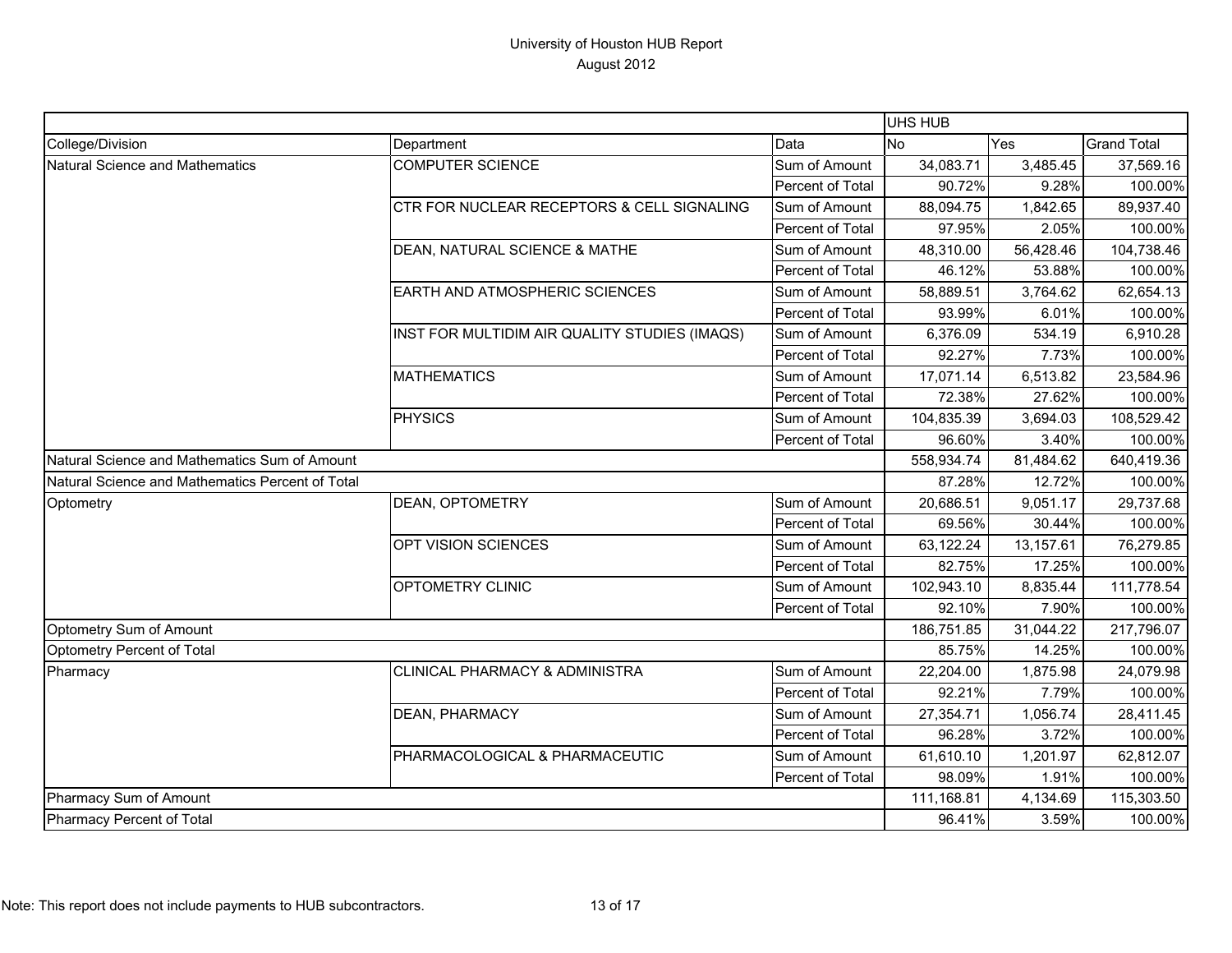|                                                  |                                               |                  | <b>UHS HUB</b> |            |                    |
|--------------------------------------------------|-----------------------------------------------|------------------|----------------|------------|--------------------|
| College/Division                                 | Department                                    | Data             | <b>No</b>      | Yes        | <b>Grand Total</b> |
| Natural Science and Mathematics                  | <b>COMPUTER SCIENCE</b>                       | Sum of Amount    | 34,083.71      | 3,485.45   | 37,569.16          |
|                                                  |                                               | Percent of Total | 90.72%         | 9.28%      | 100.00%            |
|                                                  | CTR FOR NUCLEAR RECEPTORS & CELL SIGNALING    | Sum of Amount    | 88,094.75      | 1,842.65   | 89,937.40          |
|                                                  |                                               | Percent of Total | 97.95%         | 2.05%      | 100.00%            |
|                                                  | DEAN, NATURAL SCIENCE & MATHE                 | Sum of Amount    | 48,310.00      | 56,428.46  | 104,738.46         |
|                                                  |                                               | Percent of Total | 46.12%         | 53.88%     | 100.00%            |
|                                                  | <b>EARTH AND ATMOSPHERIC SCIENCES</b>         | Sum of Amount    | 58,889.51      | 3,764.62   | 62,654.13          |
|                                                  |                                               | Percent of Total | 93.99%         | 6.01%      | 100.00%            |
|                                                  | INST FOR MULTIDIM AIR QUALITY STUDIES (IMAQS) | Sum of Amount    | 6,376.09       | 534.19     | 6,910.28           |
|                                                  |                                               | Percent of Total | 92.27%         | 7.73%      | 100.00%            |
|                                                  | <b>MATHEMATICS</b>                            | Sum of Amount    | 17,071.14      | 6,513.82   | 23,584.96          |
|                                                  |                                               | Percent of Total | 72.38%         | 27.62%     | 100.00%            |
|                                                  | <b>PHYSICS</b>                                | Sum of Amount    | 104,835.39     | 3,694.03   | 108,529.42         |
|                                                  |                                               | Percent of Total | 96.60%         | 3.40%      | 100.00%            |
| Natural Science and Mathematics Sum of Amount    |                                               | 558,934.74       | 81,484.62      | 640,419.36 |                    |
| Natural Science and Mathematics Percent of Total |                                               |                  | 87.28%         | 12.72%     | 100.00%            |
| Optometry                                        | <b>DEAN, OPTOMETRY</b>                        | Sum of Amount    | 20,686.51      | 9,051.17   | 29,737.68          |
|                                                  |                                               | Percent of Total | 69.56%         | 30.44%     | 100.00%            |
|                                                  | OPT VISION SCIENCES                           | Sum of Amount    | 63,122.24      | 13,157.61  | 76,279.85          |
|                                                  |                                               | Percent of Total | 82.75%         | 17.25%     | 100.00%            |
|                                                  | OPTOMETRY CLINIC                              | Sum of Amount    | 102,943.10     | 8,835.44   | 111,778.54         |
|                                                  |                                               | Percent of Total | 92.10%         | 7.90%      | 100.00%            |
| Optometry Sum of Amount                          |                                               |                  | 186,751.85     | 31,044.22  | 217,796.07         |
| Optometry Percent of Total                       |                                               |                  | 85.75%         | 14.25%     | 100.00%            |
| Pharmacy                                         | CLINICAL PHARMACY & ADMINISTRA                | Sum of Amount    | 22,204.00      | 1,875.98   | 24,079.98          |
|                                                  |                                               | Percent of Total | 92.21%         | 7.79%      | 100.00%            |
|                                                  | <b>DEAN, PHARMACY</b>                         | Sum of Amount    | 27,354.71      | 1,056.74   | 28,411.45          |
|                                                  |                                               | Percent of Total | 96.28%         | 3.72%      | 100.00%            |
|                                                  | PHARMACOLOGICAL & PHARMACEUTIC                | Sum of Amount    | 61,610.10      | 1,201.97   | 62,812.07          |
|                                                  |                                               | Percent of Total | 98.09%         | 1.91%      | 100.00%            |
| Pharmacy Sum of Amount                           |                                               |                  | 111,168.81     | 4,134.69   | 115,303.50         |
| Pharmacy Percent of Total                        |                                               |                  | 96.41%         | 3.59%      | 100.00%            |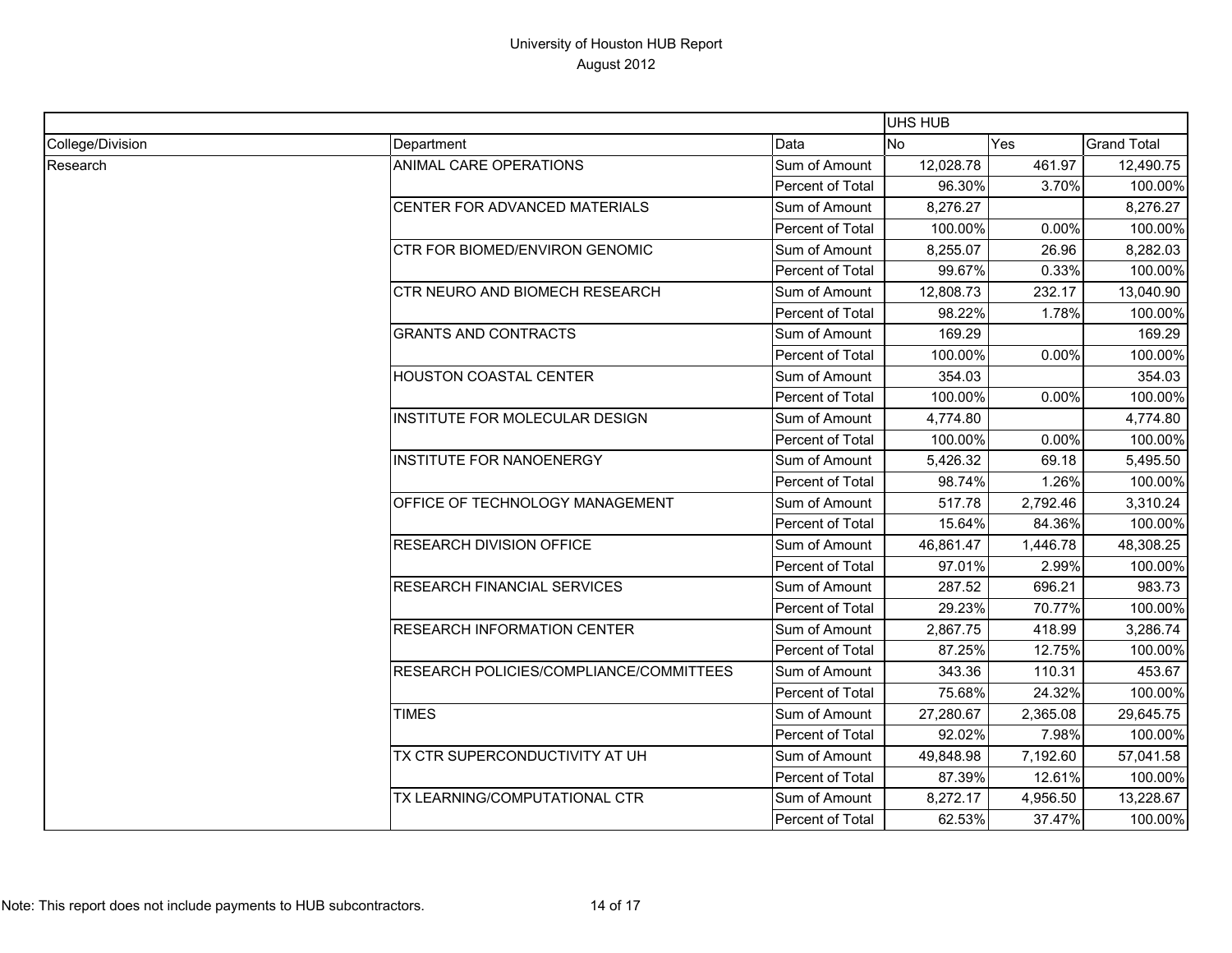|                  |                                         |                  | UHS HUB   |                            |                    |
|------------------|-----------------------------------------|------------------|-----------|----------------------------|--------------------|
| College/Division | Department                              | Data             | No        | Yes                        | <b>Grand Total</b> |
| Research         | ANIMAL CARE OPERATIONS                  | Sum of Amount    | 12,028.78 | 461.97                     | 12,490.75          |
|                  |                                         | Percent of Total | 96.30%    | 3.70%                      | 100.00%            |
|                  | CENTER FOR ADVANCED MATERIALS           | Sum of Amount    | 8,276.27  |                            | 8,276.27           |
|                  |                                         | Percent of Total | 100.00%   | 0.00%                      | 100.00%            |
|                  | <b>CTR FOR BIOMED/ENVIRON GENOMIC</b>   | Sum of Amount    | 8,255.07  | 26.96                      | 8,282.03           |
|                  |                                         | Percent of Total | 99.67%    | 0.33%                      | 100.00%            |
|                  | CTR NEURO AND BIOMECH RESEARCH          | Sum of Amount    | 12,808.73 | 232.17                     | 13,040.90          |
|                  |                                         | Percent of Total | 98.22%    | 1.78%                      | 100.00%            |
|                  | <b>GRANTS AND CONTRACTS</b>             | Sum of Amount    | 169.29    |                            | 169.29             |
|                  |                                         | Percent of Total | 100.00%   | $0.00\%$                   | 100.00%            |
|                  | HOUSTON COASTAL CENTER                  | Sum of Amount    | 354.03    |                            | 354.03             |
|                  |                                         | Percent of Total | 100.00%   | 0.00%                      | 100.00%            |
|                  | INSTITUTE FOR MOLECULAR DESIGN          | Sum of Amount    | 4,774.80  |                            | 4,774.80           |
|                  |                                         | Percent of Total | 100.00%   | 0.00%                      | 100.00%            |
|                  | INSTITUTE FOR NANOENERGY                | Sum of Amount    | 5,426.32  | 69.18<br>5,495.50<br>1.26% |                    |
|                  |                                         | Percent of Total | 98.74%    |                            | 100.00%            |
|                  | OFFICE OF TECHNOLOGY MANAGEMENT         | Sum of Amount    | 517.78    | 2,792.46                   | 3,310.24           |
|                  |                                         | Percent of Total | 15.64%    | 84.36%                     | 100.00%            |
|                  | <b>RESEARCH DIVISION OFFICE</b>         | Sum of Amount    | 46,861.47 | 1,446.78                   | 48,308.25          |
|                  |                                         | Percent of Total | 97.01%    | 2.99%                      | 100.00%            |
|                  | <b>RESEARCH FINANCIAL SERVICES</b>      | Sum of Amount    | 287.52    | 696.21                     | 983.73             |
|                  |                                         | Percent of Total | 29.23%    | 70.77%                     | 100.00%            |
|                  | <b>RESEARCH INFORMATION CENTER</b>      | Sum of Amount    | 2,867.75  | 418.99                     | 3,286.74           |
|                  |                                         | Percent of Total | 87.25%    | 12.75%                     | 100.00%            |
|                  | RESEARCH POLICIES/COMPLIANCE/COMMITTEES | Sum of Amount    | 343.36    | 110.31                     | 453.67             |
|                  |                                         | Percent of Total | 75.68%    | 24.32%                     | 100.00%            |
|                  | <b>TIMES</b>                            | Sum of Amount    | 27,280.67 | 2,365.08                   | 29,645.75          |
|                  |                                         | Percent of Total | 92.02%    | 7.98%                      | 100.00%            |
|                  | TX CTR SUPERCONDUCTIVITY AT UH          | Sum of Amount    | 49,848.98 | 7,192.60                   | 57,041.58          |
|                  |                                         | Percent of Total | 87.39%    | 12.61%                     | 100.00%            |
|                  | TX LEARNING/COMPUTATIONAL CTR           | Sum of Amount    | 8,272.17  | 4,956.50                   | 13,228.67          |
|                  |                                         | Percent of Total | 62.53%    | 37.47%                     | 100.00%            |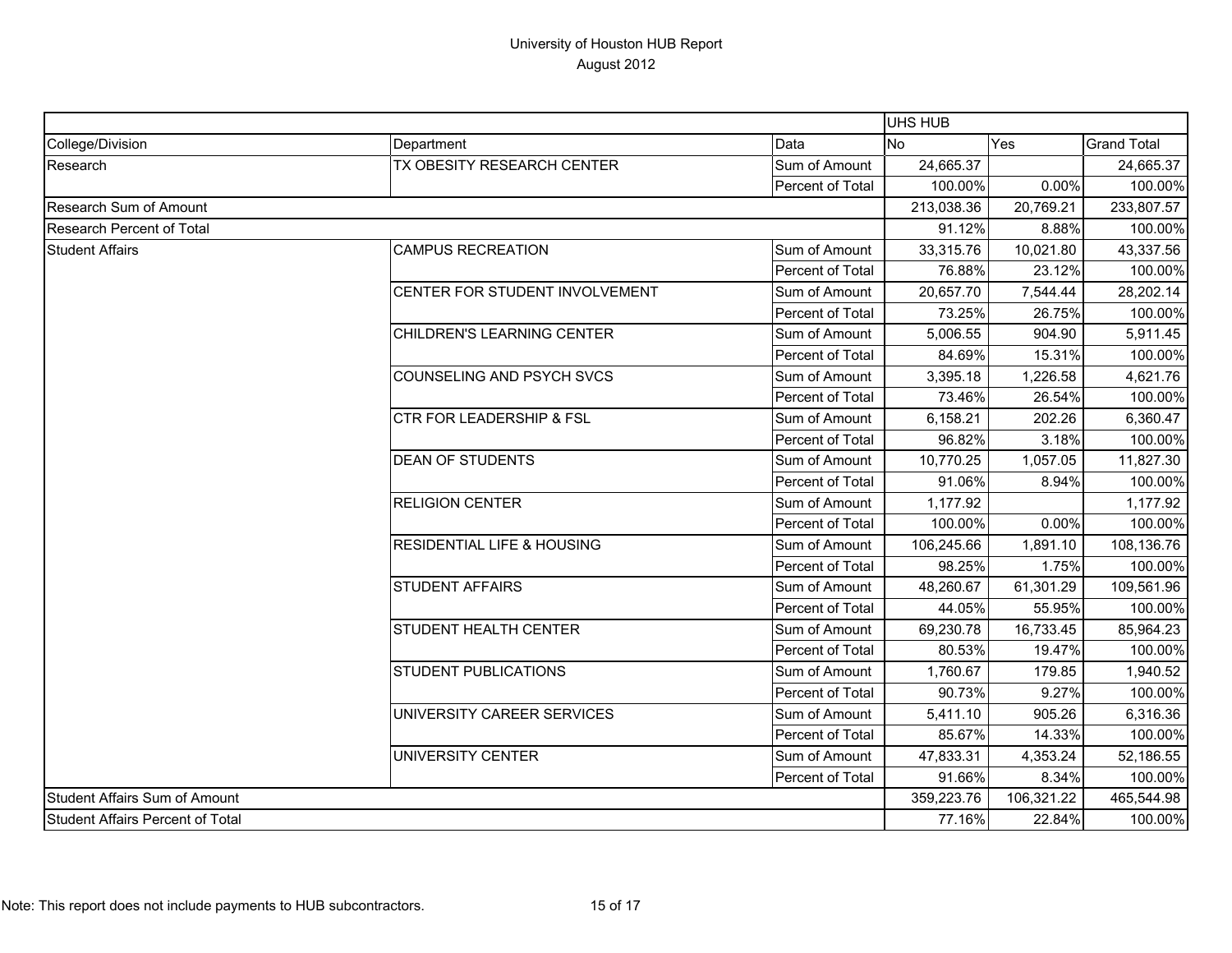|                                  |                                       |                         | UHS HUB    |            |                                                                                                                                                                                                                                                                                                                                                        |  |
|----------------------------------|---------------------------------------|-------------------------|------------|------------|--------------------------------------------------------------------------------------------------------------------------------------------------------------------------------------------------------------------------------------------------------------------------------------------------------------------------------------------------------|--|
| College/Division                 | Department                            | Data                    | <b>No</b>  | Yes        | <b>Grand Total</b>                                                                                                                                                                                                                                                                                                                                     |  |
| Research                         | TX OBESITY RESEARCH CENTER            | Sum of Amount           | 24,665.37  |            |                                                                                                                                                                                                                                                                                                                                                        |  |
|                                  |                                       | Percent of Total        | 100.00%    | 0.00%      |                                                                                                                                                                                                                                                                                                                                                        |  |
| Research Sum of Amount           |                                       |                         | 213,038.36 | 20,769.21  |                                                                                                                                                                                                                                                                                                                                                        |  |
| Research Percent of Total        |                                       | 91.12%                  | 8.88%      |            |                                                                                                                                                                                                                                                                                                                                                        |  |
| <b>Student Affairs</b>           | <b>CAMPUS RECREATION</b>              | Sum of Amount           | 33,315.76  | 10,021.80  |                                                                                                                                                                                                                                                                                                                                                        |  |
|                                  |                                       | Percent of Total        | 76.88%     | 23.12%     |                                                                                                                                                                                                                                                                                                                                                        |  |
|                                  | CENTER FOR STUDENT INVOLVEMENT        | Sum of Amount           | 20,657.70  | 7,544.44   |                                                                                                                                                                                                                                                                                                                                                        |  |
|                                  |                                       | Percent of Total        | 73.25%     | 26.75%     |                                                                                                                                                                                                                                                                                                                                                        |  |
|                                  | CHILDREN'S LEARNING CENTER            | Sum of Amount           | 5,006.55   | 904.90     |                                                                                                                                                                                                                                                                                                                                                        |  |
|                                  |                                       | Percent of Total        | 84.69%     | 15.31%     |                                                                                                                                                                                                                                                                                                                                                        |  |
|                                  | <b>COUNSELING AND PSYCH SVCS</b>      | Sum of Amount           | 3,395.18   | 1,226.58   |                                                                                                                                                                                                                                                                                                                                                        |  |
|                                  |                                       | Percent of Total        | 73.46%     | 26.54%     |                                                                                                                                                                                                                                                                                                                                                        |  |
|                                  | <b>CTR FOR LEADERSHIP &amp; FSL</b>   | Sum of Amount           | 6,158.21   | 202.26     |                                                                                                                                                                                                                                                                                                                                                        |  |
|                                  |                                       | Percent of Total        | 96.82%     | 3.18%      |                                                                                                                                                                                                                                                                                                                                                        |  |
|                                  | <b>DEAN OF STUDENTS</b>               | Sum of Amount           | 10,770.25  | 1,057.05   | 24,665.37<br>100.00%<br>233,807.57<br>100.00%<br>43,337.56<br>100.00%<br>28,202.14<br>100.00%<br>5,911.45<br>100.00%<br>4,621.76<br>100.00%<br>6,360.47<br>100.00%<br>11,827.30<br>100.00%<br>1,177.92<br>100.00%<br>108,136.76<br>100.00%<br>109,561.96<br>100.00%<br>85,964.23<br>100.00%<br>1,940.52<br>100.00%<br>6,316.36<br>100.00%<br>52,186.55 |  |
|                                  |                                       | Percent of Total        | 91.06%     | 8.94%      |                                                                                                                                                                                                                                                                                                                                                        |  |
|                                  | <b>RELIGION CENTER</b>                | Sum of Amount           | 1,177.92   |            |                                                                                                                                                                                                                                                                                                                                                        |  |
|                                  |                                       | Percent of Total        | 100.00%    | 0.00%      |                                                                                                                                                                                                                                                                                                                                                        |  |
|                                  | <b>RESIDENTIAL LIFE &amp; HOUSING</b> | Sum of Amount           | 106,245.66 | 1,891.10   |                                                                                                                                                                                                                                                                                                                                                        |  |
|                                  |                                       | Percent of Total        | 98.25%     | 1.75%      |                                                                                                                                                                                                                                                                                                                                                        |  |
|                                  | <b>STUDENT AFFAIRS</b>                | Sum of Amount           | 48,260.67  | 61,301.29  |                                                                                                                                                                                                                                                                                                                                                        |  |
|                                  |                                       | Percent of Total        | 44.05%     | 55.95%     |                                                                                                                                                                                                                                                                                                                                                        |  |
|                                  | <b>STUDENT HEALTH CENTER</b>          | Sum of Amount           | 69,230.78  | 16,733.45  | 19.47%<br>179.85<br>9.27%<br>905.26<br>14.33%<br>4,353.24<br>8.34%<br>100.00%<br>465,544.98<br>22.84%<br>100.00%                                                                                                                                                                                                                                       |  |
|                                  |                                       | <b>Percent of Total</b> | 80.53%     |            |                                                                                                                                                                                                                                                                                                                                                        |  |
|                                  | <b>STUDENT PUBLICATIONS</b>           | Sum of Amount           | 1,760.67   |            |                                                                                                                                                                                                                                                                                                                                                        |  |
|                                  |                                       | Percent of Total        | 90.73%     |            |                                                                                                                                                                                                                                                                                                                                                        |  |
|                                  | UNIVERSITY CAREER SERVICES            | Sum of Amount           | 5,411.10   |            |                                                                                                                                                                                                                                                                                                                                                        |  |
|                                  |                                       | Percent of Total        | 85.67%     |            |                                                                                                                                                                                                                                                                                                                                                        |  |
|                                  | UNIVERSITY CENTER                     | Sum of Amount           | 47,833.31  |            |                                                                                                                                                                                                                                                                                                                                                        |  |
|                                  |                                       | Percent of Total        | 91.66%     |            |                                                                                                                                                                                                                                                                                                                                                        |  |
| Student Affairs Sum of Amount    |                                       |                         | 359,223.76 | 106,321.22 |                                                                                                                                                                                                                                                                                                                                                        |  |
| Student Affairs Percent of Total |                                       |                         | 77.16%     |            |                                                                                                                                                                                                                                                                                                                                                        |  |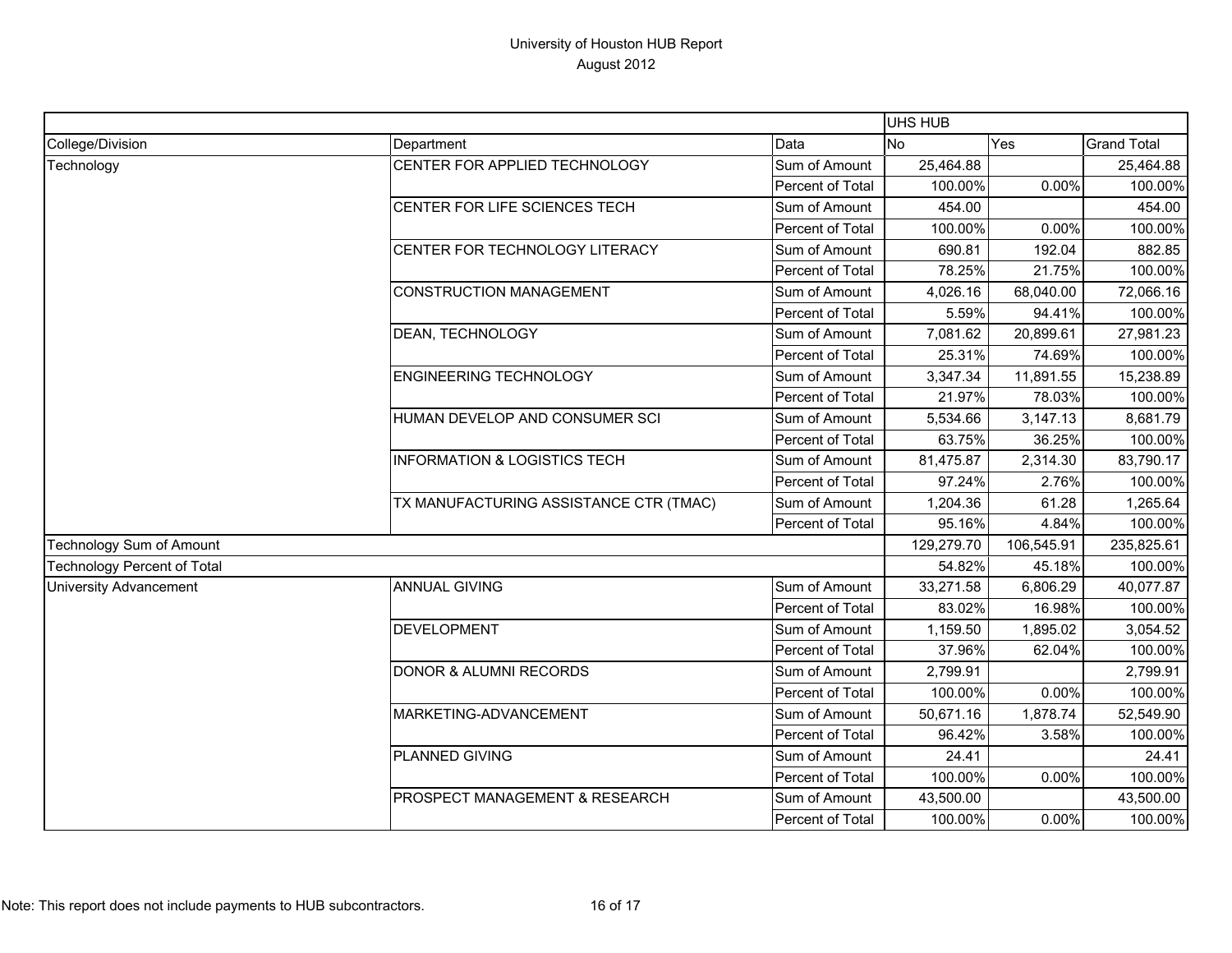|                                    |                                         |                  | UHS HUB    |            |                      |
|------------------------------------|-----------------------------------------|------------------|------------|------------|----------------------|
| College/Division                   | Department                              | Data             | <b>No</b>  | Yes        | <b>Grand Total</b>   |
| Technology                         | CENTER FOR APPLIED TECHNOLOGY           | Sum of Amount    | 25,464.88  |            | 25,464.88            |
|                                    |                                         | Percent of Total | 100.00%    | 0.00%      | 100.00%              |
|                                    | CENTER FOR LIFE SCIENCES TECH           | Sum of Amount    | 454.00     |            | 454.00               |
|                                    |                                         | Percent of Total | 100.00%    | 0.00%      | 100.00%              |
|                                    | CENTER FOR TECHNOLOGY LITERACY          | Sum of Amount    | 690.81     | 192.04     | 882.85               |
|                                    |                                         | Percent of Total | 78.25%     | 21.75%     | 100.00%              |
|                                    | <b>CONSTRUCTION MANAGEMENT</b>          | Sum of Amount    | 4,026.16   | 68,040.00  | 72,066.16            |
|                                    |                                         | Percent of Total | 5.59%      | 94.41%     | 100.00%              |
|                                    | DEAN, TECHNOLOGY                        | Sum of Amount    | 7,081.62   | 20,899.61  | 27,981.23            |
|                                    |                                         | Percent of Total | 25.31%     | 74.69%     | 100.00%              |
|                                    | <b>ENGINEERING TECHNOLOGY</b>           | Sum of Amount    | 3,347.34   | 11,891.55  | 15,238.89            |
|                                    |                                         | Percent of Total | 21.97%     | 78.03%     | 100.00%              |
|                                    | HUMAN DEVELOP AND CONSUMER SCI          | Sum of Amount    | 5,534.66   | 3,147.13   | 8,681.79             |
|                                    |                                         | Percent of Total | 63.75%     | 36.25%     | 100.00%              |
|                                    | <b>INFORMATION &amp; LOGISTICS TECH</b> | Sum of Amount    | 81,475.87  | 2,314.30   | 83,790.17<br>100.00% |
|                                    |                                         | Percent of Total | 97.24%     | 2.76%      |                      |
|                                    | TX MANUFACTURING ASSISTANCE CTR (TMAC)  | Sum of Amount    | 1,204.36   | 61.28      | 1,265.64             |
|                                    |                                         | Percent of Total | 95.16%     | 4.84%      | 100.00%              |
| Technology Sum of Amount           |                                         | 129,279.70       | 106,545.91 | 235,825.61 |                      |
| <b>Technology Percent of Total</b> |                                         |                  | 54.82%     | 45.18%     | 100.00%              |
| <b>University Advancement</b>      | <b>ANNUAL GIVING</b>                    | Sum of Amount    | 33,271.58  | 6,806.29   | 40,077.87            |
|                                    |                                         | Percent of Total | 83.02%     | 16.98%     | 100.00%              |
|                                    | <b>DEVELOPMENT</b>                      | Sum of Amount    | 1,159.50   | 1,895.02   | 3,054.52             |
|                                    |                                         | Percent of Total | 37.96%     | 62.04%     | 100.00%              |
|                                    | <b>DONOR &amp; ALUMNI RECORDS</b>       | Sum of Amount    | 2,799.91   |            | 2,799.91             |
|                                    |                                         | Percent of Total | 100.00%    | 0.00%      | 100.00%              |
|                                    | MARKETING-ADVANCEMENT                   | Sum of Amount    | 50,671.16  | 1,878.74   | 52,549.90            |
|                                    |                                         | Percent of Total | 96.42%     | 3.58%      | 100.00%              |
|                                    | PLANNED GIVING                          | Sum of Amount    | 24.41      |            | 24.41                |
|                                    |                                         | Percent of Total | 100.00%    | 0.00%      | 100.00%              |
|                                    | PROSPECT MANAGEMENT & RESEARCH          | Sum of Amount    | 43,500.00  |            | 43,500.00            |
|                                    |                                         | Percent of Total | 100.00%    | 0.00%      | 100.00%              |